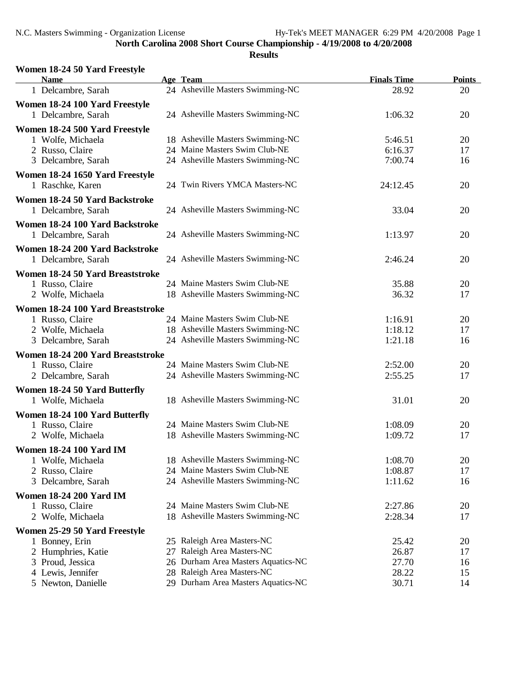| Women 18-24 50 Yard Freestyle<br><b>Name</b> | Age Team                           | <b>Finals Time</b> | <b>Points</b> |
|----------------------------------------------|------------------------------------|--------------------|---------------|
| 1 Delcambre, Sarah                           | 24 Asheville Masters Swimming-NC   | 28.92              | 20            |
| Women 18-24 100 Yard Freestyle               |                                    |                    |               |
| 1 Delcambre, Sarah                           | 24 Asheville Masters Swimming-NC   | 1:06.32            | 20            |
| Women 18-24 500 Yard Freestyle               |                                    |                    |               |
| 1 Wolfe, Michaela                            | 18 Asheville Masters Swimming-NC   | 5:46.51            | 20            |
| 2 Russo, Claire                              | 24 Maine Masters Swim Club-NE      | 6:16.37            | 17            |
| 3 Delcambre, Sarah                           | 24 Asheville Masters Swimming-NC   | 7:00.74            | 16            |
| Women 18-24 1650 Yard Freestyle              |                                    |                    |               |
| 1 Raschke, Karen                             | 24 Twin Rivers YMCA Masters-NC     | 24:12.45           | 20            |
| Women 18-24 50 Yard Backstroke               |                                    |                    |               |
| 1 Delcambre, Sarah                           | 24 Asheville Masters Swimming-NC   | 33.04              | 20            |
| Women 18-24 100 Yard Backstroke              |                                    |                    |               |
| 1 Delcambre, Sarah                           | 24 Asheville Masters Swimming-NC   | 1:13.97            | 20            |
| Women 18-24 200 Yard Backstroke              |                                    |                    |               |
| 1 Delcambre, Sarah                           | 24 Asheville Masters Swimming-NC   | 2:46.24            | 20            |
| Women 18-24 50 Yard Breaststroke             |                                    |                    |               |
| 1 Russo, Claire                              | 24 Maine Masters Swim Club-NE      | 35.88              | 20            |
| 2 Wolfe, Michaela                            | 18 Asheville Masters Swimming-NC   | 36.32              | 17            |
| Women 18-24 100 Yard Breaststroke            |                                    |                    |               |
| 1 Russo, Claire                              | 24 Maine Masters Swim Club-NE      | 1:16.91            | 20            |
| 2 Wolfe, Michaela                            | 18 Asheville Masters Swimming-NC   | 1:18.12            | 17            |
| 3 Delcambre, Sarah                           | 24 Asheville Masters Swimming-NC   | 1:21.18            | 16            |
| Women 18-24 200 Yard Breaststroke            |                                    |                    |               |
| 1 Russo, Claire                              | 24 Maine Masters Swim Club-NE      | 2:52.00            | 20            |
| 2 Delcambre, Sarah                           | 24 Asheville Masters Swimming-NC   | 2:55.25            | 17            |
| Women 18-24 50 Yard Butterfly                |                                    |                    |               |
| 1 Wolfe, Michaela                            | 18 Asheville Masters Swimming-NC   | 31.01              | 20            |
| Women 18-24 100 Yard Butterfly               |                                    |                    |               |
| 1 Russo, Claire                              | 24 Maine Masters Swim Club-NE      | 1:08.09            | 20            |
| 2 Wolfe, Michaela                            | 18 Asheville Masters Swimming-NC   | 1:09.72            | 17            |
| <b>Women 18-24 100 Yard IM</b>               |                                    |                    |               |
| 1 Wolfe, Michaela                            | 18 Asheville Masters Swimming-NC   | 1:08.70            | 20            |
| 2 Russo, Claire                              | 24 Maine Masters Swim Club-NE      | 1:08.87            | 17            |
| 3 Delcambre, Sarah                           | 24 Asheville Masters Swimming-NC   | 1:11.62            | 16            |
| <b>Women 18-24 200 Yard IM</b>               |                                    |                    |               |
| 1 Russo, Claire                              | 24 Maine Masters Swim Club-NE      | 2:27.86            | 20            |
| 2 Wolfe, Michaela                            | 18 Asheville Masters Swimming-NC   | 2:28.34            | 17            |
| Women 25-29 50 Yard Freestyle                |                                    |                    |               |
| 1 Bonney, Erin                               | 25 Raleigh Area Masters-NC         | 25.42              | 20            |
| 2 Humphries, Katie                           | 27 Raleigh Area Masters-NC         | 26.87              | 17            |
| 3 Proud, Jessica                             | 26 Durham Area Masters Aquatics-NC | 27.70              | 16            |
| 4 Lewis, Jennifer                            | 28 Raleigh Area Masters-NC         | 28.22              | 15            |
| 5 Newton, Danielle                           | 29 Durham Area Masters Aquatics-NC | 30.71              | 14            |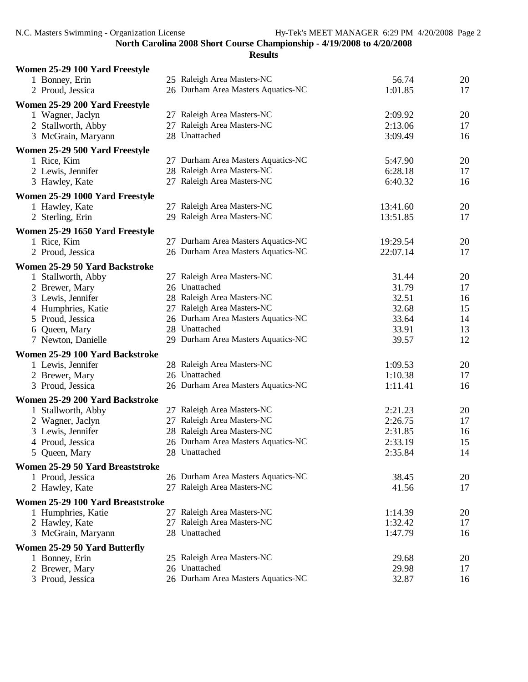| Women 25-29 100 Yard Freestyle    |                                    |          |    |
|-----------------------------------|------------------------------------|----------|----|
| 1 Bonney, Erin                    | 25 Raleigh Area Masters-NC         | 56.74    | 20 |
| 2 Proud, Jessica                  | 26 Durham Area Masters Aquatics-NC | 1:01.85  | 17 |
| Women 25-29 200 Yard Freestyle    |                                    |          |    |
| 1 Wagner, Jaclyn                  | 27 Raleigh Area Masters-NC         | 2:09.92  | 20 |
| 2 Stallworth, Abby                | 27 Raleigh Area Masters-NC         | 2:13.06  | 17 |
| 3 McGrain, Maryann                | 28 Unattached                      | 3:09.49  | 16 |
| Women 25-29 500 Yard Freestyle    |                                    |          |    |
| 1 Rice, Kim                       | 27 Durham Area Masters Aquatics-NC | 5:47.90  | 20 |
|                                   | 28 Raleigh Area Masters-NC         | 6:28.18  | 17 |
| 2 Lewis, Jennifer                 | 27 Raleigh Area Masters-NC         | 6:40.32  | 16 |
| 3 Hawley, Kate                    |                                    |          |    |
| Women 25-29 1000 Yard Freestyle   |                                    |          |    |
| 1 Hawley, Kate                    | 27 Raleigh Area Masters-NC         | 13:41.60 | 20 |
| 2 Sterling, Erin                  | 29 Raleigh Area Masters-NC         | 13:51.85 | 17 |
| Women 25-29 1650 Yard Freestyle   |                                    |          |    |
| 1 Rice, Kim                       | 27 Durham Area Masters Aquatics-NC | 19:29.54 | 20 |
| 2 Proud, Jessica                  | 26 Durham Area Masters Aquatics-NC | 22:07.14 | 17 |
| Women 25-29 50 Yard Backstroke    |                                    |          |    |
| 1 Stallworth, Abby                | 27 Raleigh Area Masters-NC         | 31.44    | 20 |
| 2 Brewer, Mary                    | 26 Unattached                      | 31.79    | 17 |
| 3 Lewis, Jennifer                 | 28 Raleigh Area Masters-NC         | 32.51    | 16 |
| 4 Humphries, Katie                | 27 Raleigh Area Masters-NC         | 32.68    | 15 |
| 5 Proud, Jessica                  | 26 Durham Area Masters Aquatics-NC | 33.64    | 14 |
| 6 Queen, Mary                     | 28 Unattached                      | 33.91    | 13 |
| 7 Newton, Danielle                | 29 Durham Area Masters Aquatics-NC | 39.57    | 12 |
| Women 25-29 100 Yard Backstroke   |                                    |          |    |
| 1 Lewis, Jennifer                 | 28 Raleigh Area Masters-NC         | 1:09.53  | 20 |
| 2 Brewer, Mary                    | 26 Unattached                      | 1:10.38  | 17 |
| 3 Proud, Jessica                  | 26 Durham Area Masters Aquatics-NC | 1:11.41  | 16 |
| Women 25-29 200 Yard Backstroke   |                                    |          |    |
| 1 Stallworth, Abby                | 27 Raleigh Area Masters-NC         | 2:21.23  | 20 |
| 2 Wagner, Jaclyn                  | 27 Raleigh Area Masters-NC         | 2:26.75  | 17 |
| 3 Lewis, Jennifer                 | 28 Raleigh Area Masters-NC         | 2:31.85  | 16 |
| 4 Proud, Jessica                  | 26 Durham Area Masters Aquatics-NC | 2:33.19  | 15 |
| 5 Queen, Mary                     | 28 Unattached                      | 2:35.84  | 14 |
| Women 25-29 50 Yard Breaststroke  |                                    |          |    |
| 1 Proud, Jessica                  | 26 Durham Area Masters Aquatics-NC | 38.45    | 20 |
| 2 Hawley, Kate                    | 27 Raleigh Area Masters-NC         | 41.56    | 17 |
|                                   |                                    |          |    |
| Women 25-29 100 Yard Breaststroke |                                    |          |    |
| 1 Humphries, Katie                | 27 Raleigh Area Masters-NC         | 1:14.39  | 20 |
| 2 Hawley, Kate                    | 27 Raleigh Area Masters-NC         | 1:32.42  | 17 |
| 3 McGrain, Maryann                | 28 Unattached                      | 1:47.79  | 16 |
| Women 25-29 50 Yard Butterfly     |                                    |          |    |
| 1 Bonney, Erin                    | 25 Raleigh Area Masters-NC         | 29.68    | 20 |
| 2 Brewer, Mary                    | 26 Unattached                      | 29.98    | 17 |
| 3 Proud, Jessica                  | 26 Durham Area Masters Aquatics-NC | 32.87    | 16 |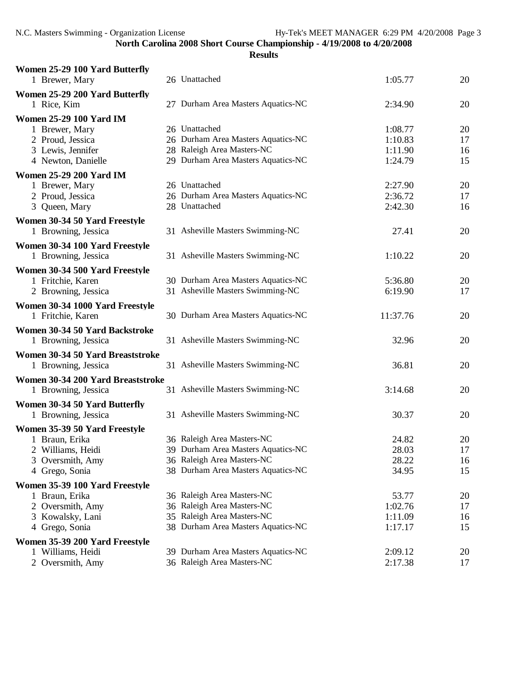| Women 25-29 100 Yard Butterfly     |                                                                  |                    |          |
|------------------------------------|------------------------------------------------------------------|--------------------|----------|
| 1 Brewer, Mary                     | 26 Unattached                                                    | 1:05.77            | 20       |
| Women 25-29 200 Yard Butterfly     |                                                                  |                    |          |
| 1 Rice, Kim                        | 27 Durham Area Masters Aquatics-NC                               | 2:34.90            | 20       |
| <b>Women 25-29 100 Yard IM</b>     |                                                                  |                    |          |
| 1 Brewer, Mary                     | 26 Unattached                                                    | 1:08.77            | 20       |
| 2 Proud, Jessica                   | 26 Durham Area Masters Aquatics-NC                               | 1:10.83            | 17       |
| 3 Lewis, Jennifer                  | 28 Raleigh Area Masters-NC                                       | 1:11.90            | 16       |
| 4 Newton, Danielle                 | 29 Durham Area Masters Aquatics-NC                               | 1:24.79            | 15       |
| <b>Women 25-29 200 Yard IM</b>     |                                                                  |                    |          |
| 1 Brewer, Mary                     | 26 Unattached                                                    | 2:27.90            | 20       |
| 2 Proud, Jessica                   | 26 Durham Area Masters Aquatics-NC                               | 2:36.72            | 17       |
| 3 Queen, Mary                      | 28 Unattached                                                    | 2:42.30            | 16       |
| Women 30-34 50 Yard Freestyle      |                                                                  |                    |          |
| 1 Browning, Jessica                | 31 Asheville Masters Swimming-NC                                 | 27.41              | 20       |
| Women 30-34 100 Yard Freestyle     |                                                                  |                    |          |
| 1 Browning, Jessica                | 31 Asheville Masters Swimming-NC                                 | 1:10.22            | 20       |
| Women 30-34 500 Yard Freestyle     |                                                                  |                    |          |
| 1 Fritchie, Karen                  | 30 Durham Area Masters Aquatics-NC                               | 5:36.80            | 20       |
| 2 Browning, Jessica                | 31 Asheville Masters Swimming-NC                                 | 6:19.90            | 17       |
| Women 30-34 1000 Yard Freestyle    |                                                                  |                    |          |
| 1 Fritchie, Karen                  | 30 Durham Area Masters Aquatics-NC                               | 11:37.76           | 20       |
| Women 30-34 50 Yard Backstroke     |                                                                  |                    |          |
| 1 Browning, Jessica                | 31 Asheville Masters Swimming-NC                                 | 32.96              | 20       |
| Women 30-34 50 Yard Breaststroke   |                                                                  |                    |          |
| 1 Browning, Jessica                | 31 Asheville Masters Swimming-NC                                 | 36.81              | 20       |
|                                    |                                                                  |                    |          |
| Women 30-34 200 Yard Breaststroke  | 31 Asheville Masters Swimming-NC                                 | 3:14.68            | 20       |
| 1 Browning, Jessica                |                                                                  |                    |          |
| Women 30-34 50 Yard Butterfly      |                                                                  |                    |          |
| 1 Browning, Jessica                | 31 Asheville Masters Swimming-NC                                 | 30.37              | 20       |
| Women 35-39 50 Yard Freestyle      |                                                                  |                    |          |
| 1 Braun, Erika                     | 36 Raleigh Area Masters-NC                                       | 24.82              | 20       |
| 2 Williams, Heidi                  | 39 Durham Area Masters Aquatics-NC                               | 28.03              | 17       |
| Oversmith, Amy<br>3                | 36 Raleigh Area Masters-NC                                       | 28.22              | 16       |
| 4 Grego, Sonia                     | 38 Durham Area Masters Aquatics-NC                               | 34.95              | 15       |
| Women 35-39 100 Yard Freestyle     |                                                                  |                    |          |
| 1 Braun, Erika                     | 36 Raleigh Area Masters-NC                                       | 53.77              | 20       |
| 2 Oversmith, Amy                   | 36 Raleigh Area Masters-NC                                       | 1:02.76            | 17       |
| 3 Kowalsky, Lani<br>4 Grego, Sonia | 35 Raleigh Area Masters-NC<br>38 Durham Area Masters Aquatics-NC | 1:11.09<br>1:17.17 | 16<br>15 |
|                                    |                                                                  |                    |          |
| Women 35-39 200 Yard Freestyle     |                                                                  |                    |          |
| 1 Williams, Heidi                  | 39 Durham Area Masters Aquatics-NC<br>36 Raleigh Area Masters-NC | 2:09.12            | 20<br>17 |
| 2 Oversmith, Amy                   |                                                                  | 2:17.38            |          |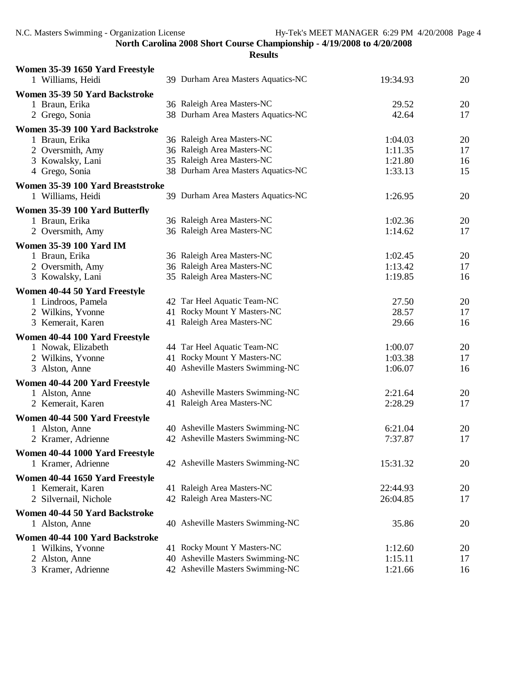| Women 35-39 1650 Yard Freestyle                  | 39 Durham Area Masters Aquatics-NC |          |    |
|--------------------------------------------------|------------------------------------|----------|----|
| 1 Williams, Heidi                                |                                    | 19:34.93 | 20 |
| Women 35-39 50 Yard Backstroke<br>1 Braun, Erika | 36 Raleigh Area Masters-NC         | 29.52    | 20 |
| 2 Grego, Sonia                                   | 38 Durham Area Masters Aquatics-NC | 42.64    | 17 |
| Women 35-39 100 Yard Backstroke                  |                                    |          |    |
| 1 Braun, Erika                                   | 36 Raleigh Area Masters-NC         | 1:04.03  | 20 |
| 2 Oversmith, Amy                                 | 36 Raleigh Area Masters-NC         | 1:11.35  | 17 |
| 3 Kowalsky, Lani                                 | 35 Raleigh Area Masters-NC         | 1:21.80  | 16 |
| 4 Grego, Sonia                                   | 38 Durham Area Masters Aquatics-NC | 1:33.13  | 15 |
| Women 35-39 100 Yard Breaststroke                |                                    |          |    |
| 1 Williams, Heidi                                | 39 Durham Area Masters Aquatics-NC | 1:26.95  | 20 |
| Women 35-39 100 Yard Butterfly                   |                                    |          |    |
| 1 Braun, Erika                                   | 36 Raleigh Area Masters-NC         | 1:02.36  | 20 |
| 2 Oversmith, Amy                                 | 36 Raleigh Area Masters-NC         | 1:14.62  | 17 |
| Women 35-39 100 Yard IM                          |                                    |          |    |
| 1 Braun, Erika                                   | 36 Raleigh Area Masters-NC         | 1:02.45  | 20 |
| 2 Oversmith, Amy                                 | 36 Raleigh Area Masters-NC         | 1:13.42  | 17 |
| 3 Kowalsky, Lani                                 | 35 Raleigh Area Masters-NC         | 1:19.85  | 16 |
| Women 40-44 50 Yard Freestyle                    |                                    |          |    |
| 1 Lindroos, Pamela                               | 42 Tar Heel Aquatic Team-NC        | 27.50    | 20 |
| 2 Wilkins, Yvonne                                | 41 Rocky Mount Y Masters-NC        | 28.57    | 17 |
| 3 Kemerait, Karen                                | 41 Raleigh Area Masters-NC         | 29.66    | 16 |
| Women 40-44 100 Yard Freestyle                   |                                    |          |    |
| 1 Nowak, Elizabeth                               | 44 Tar Heel Aquatic Team-NC        | 1:00.07  | 20 |
| 2 Wilkins, Yvonne                                | 41 Rocky Mount Y Masters-NC        | 1:03.38  | 17 |
| 3 Alston, Anne                                   | 40 Asheville Masters Swimming-NC   | 1:06.07  | 16 |
| Women 40-44 200 Yard Freestyle                   |                                    |          |    |
| 1 Alston, Anne                                   | 40 Asheville Masters Swimming-NC   | 2:21.64  | 20 |
| 2 Kemerait, Karen                                | 41 Raleigh Area Masters-NC         | 2:28.29  | 17 |
| Women 40-44 500 Yard Freestyle                   |                                    |          |    |
| 1 Alston, Anne                                   | 40 Asheville Masters Swimming-NC   | 6:21.04  | 20 |
| 2 Kramer, Adrienne                               | 42 Asheville Masters Swimming-NC   | 7:37.87  | 17 |
| Women 40-44 1000 Yard Freestyle                  |                                    |          |    |
| 1 Kramer, Adrienne                               | 42 Asheville Masters Swimming-NC   | 15:31.32 | 20 |
| Women 40-44 1650 Yard Freestyle                  |                                    |          |    |
| 1 Kemerait, Karen                                | 41 Raleigh Area Masters-NC         | 22:44.93 | 20 |
| 2 Silvernail, Nichole                            | 42 Raleigh Area Masters-NC         | 26:04.85 | 17 |
|                                                  |                                    |          |    |
| Women 40-44 50 Yard Backstroke<br>1 Alston, Anne | 40 Asheville Masters Swimming-NC   | 35.86    | 20 |
|                                                  |                                    |          |    |
| Women 40-44 100 Yard Backstroke                  |                                    |          |    |
| 1 Wilkins, Yvonne                                | 41 Rocky Mount Y Masters-NC        | 1:12.60  | 20 |
| 2 Alston, Anne                                   | 40 Asheville Masters Swimming-NC   | 1:15.11  | 17 |
| 3 Kramer, Adrienne                               | 42 Asheville Masters Swimming-NC   | 1:21.66  | 16 |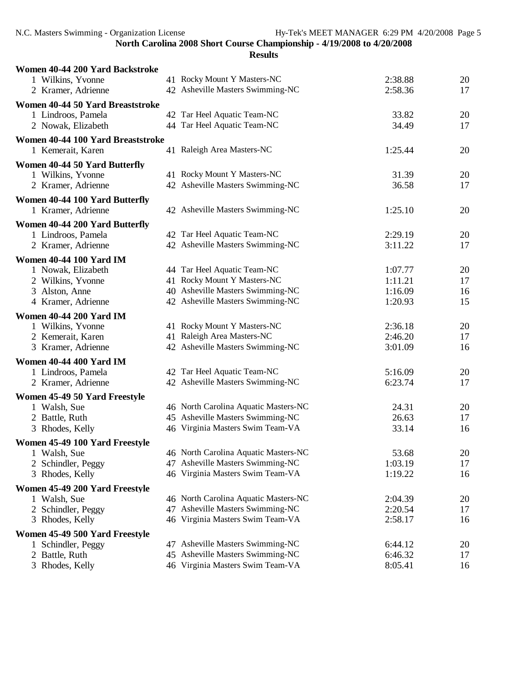| Women 40-44 200 Yard Backstroke    |                                                                          |         |          |
|------------------------------------|--------------------------------------------------------------------------|---------|----------|
| 1 Wilkins, Yvonne                  | 41 Rocky Mount Y Masters-NC                                              | 2:38.88 | 20       |
| 2 Kramer, Adrienne                 | 42 Asheville Masters Swimming-NC                                         | 2:58.36 | 17       |
| Women 40-44 50 Yard Breaststroke   |                                                                          |         |          |
| 1 Lindroos, Pamela                 | 42 Tar Heel Aquatic Team-NC                                              | 33.82   | 20       |
| 2 Nowak, Elizabeth                 | 44 Tar Heel Aquatic Team-NC                                              | 34.49   | 17       |
| Women 40-44 100 Yard Breaststroke  |                                                                          |         |          |
| 1 Kemerait, Karen                  | 41 Raleigh Area Masters-NC                                               | 1:25.44 | 20       |
| Women 40-44 50 Yard Butterfly      |                                                                          |         |          |
| 1 Wilkins, Yvonne                  | 41 Rocky Mount Y Masters-NC                                              | 31.39   | 20       |
| 2 Kramer, Adrienne                 | 42 Asheville Masters Swimming-NC                                         | 36.58   | 17       |
| Women 40-44 100 Yard Butterfly     |                                                                          |         |          |
| 1 Kramer, Adrienne                 | 42 Asheville Masters Swimming-NC                                         | 1:25.10 | 20       |
| Women 40-44 200 Yard Butterfly     |                                                                          |         |          |
| 1 Lindroos, Pamela                 | 42 Tar Heel Aquatic Team-NC                                              | 2:29.19 | 20       |
| 2 Kramer, Adrienne                 | 42 Asheville Masters Swimming-NC                                         | 3:11.22 | 17       |
| <b>Women 40-44 100 Yard IM</b>     |                                                                          |         |          |
| 1 Nowak, Elizabeth                 | 44 Tar Heel Aquatic Team-NC                                              | 1:07.77 | 20       |
| 2 Wilkins, Yvonne                  | 41 Rocky Mount Y Masters-NC                                              | 1:11.21 | 17       |
| 3 Alston, Anne                     | 40 Asheville Masters Swimming-NC                                         | 1:16.09 | 16       |
| 4 Kramer, Adrienne                 | 42 Asheville Masters Swimming-NC                                         | 1:20.93 | 15       |
| <b>Women 40-44 200 Yard IM</b>     |                                                                          |         |          |
| 1 Wilkins, Yvonne                  | 41 Rocky Mount Y Masters-NC                                              | 2:36.18 | 20       |
| 2 Kemerait, Karen                  | 41 Raleigh Area Masters-NC                                               | 2:46.20 | 17       |
| 3 Kramer, Adrienne                 | 42 Asheville Masters Swimming-NC                                         | 3:01.09 | 16       |
| Women 40-44 400 Yard IM            |                                                                          |         |          |
| 1 Lindroos, Pamela                 | 42 Tar Heel Aquatic Team-NC                                              | 5:16.09 | 20       |
| 2 Kramer, Adrienne                 | 42 Asheville Masters Swimming-NC                                         | 6:23.74 | 17       |
|                                    |                                                                          |         |          |
| Women 45-49 50 Yard Freestyle      | 46 North Carolina Aquatic Masters-NC                                     | 24.31   |          |
| 1 Walsh, Sue<br>2 Battle, Ruth     | 45 Asheville Masters Swimming-NC                                         | 26.63   | 20<br>17 |
| 3 Rhodes, Kelly                    | 46 Virginia Masters Swim Team-VA                                         | 33.14   | 16       |
|                                    |                                                                          |         |          |
| Women 45-49 100 Yard Freestyle     | 46 North Carolina Aquatic Masters-NC                                     | 53.68   |          |
| 1 Walsh, Sue<br>2 Schindler, Peggy | 47 Asheville Masters Swimming-NC                                         | 1:03.19 | 20<br>17 |
| 3 Rhodes, Kelly                    | 46 Virginia Masters Swim Team-VA                                         | 1:19.22 | 16       |
|                                    |                                                                          |         |          |
| Women 45-49 200 Yard Freestyle     |                                                                          |         |          |
| 1 Walsh, Sue                       | 46 North Carolina Aquatic Masters-NC<br>47 Asheville Masters Swimming-NC | 2:04.39 | 20       |
| 2 Schindler, Peggy                 | 46 Virginia Masters Swim Team-VA                                         | 2:20.54 | 17       |
| 3 Rhodes, Kelly                    |                                                                          | 2:58.17 | 16       |
| Women 45-49 500 Yard Freestyle     |                                                                          |         |          |
| 1 Schindler, Peggy                 | 47 Asheville Masters Swimming-NC                                         | 6:44.12 | 20       |
| 2 Battle, Ruth                     | 45 Asheville Masters Swimming-NC                                         | 6:46.32 | 17       |
| Rhodes, Kelly<br>3                 | 46 Virginia Masters Swim Team-VA                                         | 8:05.41 | 16       |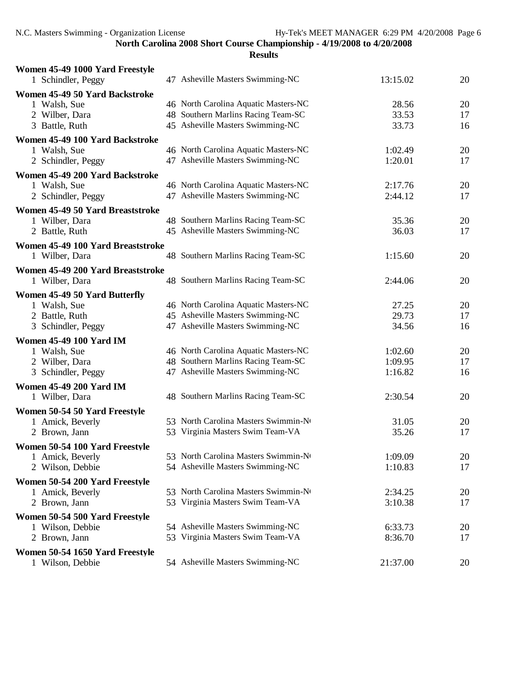| Women 45-49 1000 Yard Freestyle   |                                      |          |    |
|-----------------------------------|--------------------------------------|----------|----|
| 1 Schindler, Peggy                | 47 Asheville Masters Swimming-NC     | 13:15.02 | 20 |
| Women 45-49 50 Yard Backstroke    |                                      |          |    |
| 1 Walsh, Sue                      | 46 North Carolina Aquatic Masters-NC | 28.56    | 20 |
| 2 Wilber, Dara                    | 48 Southern Marlins Racing Team-SC   | 33.53    | 17 |
| 3 Battle, Ruth                    | 45 Asheville Masters Swimming-NC     | 33.73    | 16 |
| Women 45-49 100 Yard Backstroke   |                                      |          |    |
| 1 Walsh, Sue                      | 46 North Carolina Aquatic Masters-NC | 1:02.49  | 20 |
| 2 Schindler, Peggy                | 47 Asheville Masters Swimming-NC     | 1:20.01  | 17 |
| Women 45-49 200 Yard Backstroke   |                                      |          |    |
| 1 Walsh, Sue                      | 46 North Carolina Aquatic Masters-NC | 2:17.76  | 20 |
| 2 Schindler, Peggy                | 47 Asheville Masters Swimming-NC     | 2:44.12  | 17 |
| Women 45-49 50 Yard Breaststroke  |                                      |          |    |
| 1 Wilber, Dara                    | 48 Southern Marlins Racing Team-SC   | 35.36    | 20 |
| 2 Battle, Ruth                    | 45 Asheville Masters Swimming-NC     | 36.03    | 17 |
| Women 45-49 100 Yard Breaststroke |                                      |          |    |
| 1 Wilber, Dara                    | 48 Southern Marlins Racing Team-SC   | 1:15.60  | 20 |
| Women 45-49 200 Yard Breaststroke |                                      |          |    |
| 1 Wilber, Dara                    | 48 Southern Marlins Racing Team-SC   | 2:44.06  | 20 |
| Women 45-49 50 Yard Butterfly     |                                      |          |    |
| 1 Walsh, Sue                      | 46 North Carolina Aquatic Masters-NC | 27.25    | 20 |
| 2 Battle, Ruth                    | 45 Asheville Masters Swimming-NC     | 29.73    | 17 |
| 3 Schindler, Peggy                | 47 Asheville Masters Swimming-NC     | 34.56    | 16 |
| <b>Women 45-49 100 Yard IM</b>    |                                      |          |    |
| 1 Walsh, Sue                      | 46 North Carolina Aquatic Masters-NC | 1:02.60  | 20 |
| 2 Wilber, Dara                    | 48 Southern Marlins Racing Team-SC   | 1:09.95  | 17 |
| 3 Schindler, Peggy                | 47 Asheville Masters Swimming-NC     | 1:16.82  | 16 |
| <b>Women 45-49 200 Yard IM</b>    |                                      |          |    |
| 1 Wilber, Dara                    | 48 Southern Marlins Racing Team-SC   | 2:30.54  | 20 |
| Women 50-54 50 Yard Freestyle     |                                      |          |    |
| 1 Amick, Beverly                  | 53 North Carolina Masters Swimmin-Nt | 31.05    | 20 |
| 2 Brown, Jann                     | 53 Virginia Masters Swim Team-VA     | 35.26    | 17 |
| Women 50-54 100 Yard Freestyle    |                                      |          |    |
| 1 Amick, Beverly                  | 53 North Carolina Masters Swimmin-No | 1:09.09  | 20 |
| 2 Wilson, Debbie                  | 54 Asheville Masters Swimming-NC     | 1:10.83  | 17 |
| Women 50-54 200 Yard Freestyle    |                                      |          |    |
| 1 Amick, Beverly                  | 53 North Carolina Masters Swimmin-No | 2:34.25  | 20 |
| 2 Brown, Jann                     | 53 Virginia Masters Swim Team-VA     | 3:10.38  | 17 |
| Women 50-54 500 Yard Freestyle    |                                      |          |    |
| 1 Wilson, Debbie                  | 54 Asheville Masters Swimming-NC     | 6:33.73  | 20 |
| 2 Brown, Jann                     | 53 Virginia Masters Swim Team-VA     | 8:36.70  | 17 |
| Women 50-54 1650 Yard Freestyle   |                                      |          |    |
| 1 Wilson, Debbie                  | 54 Asheville Masters Swimming-NC     | 21:37.00 | 20 |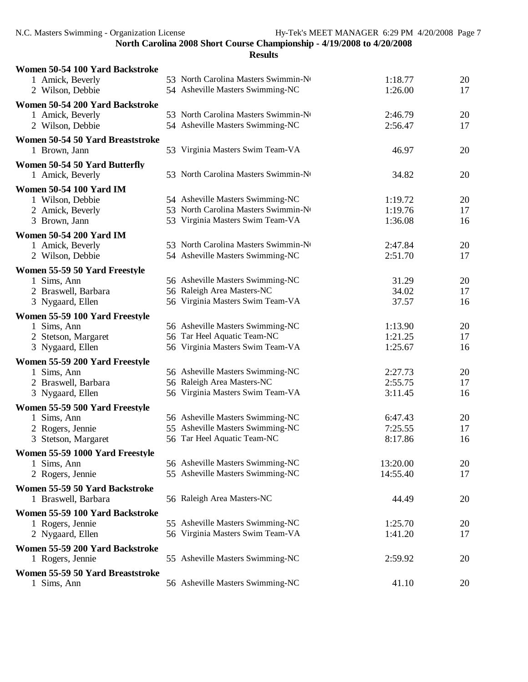| Women 50-54 100 Yard Backstroke  |                                                                      |                      |          |
|----------------------------------|----------------------------------------------------------------------|----------------------|----------|
| 1 Amick, Beverly                 | 53 North Carolina Masters Swimmin-No                                 | 1:18.77              | 20       |
| 2 Wilson, Debbie                 | 54 Asheville Masters Swimming-NC                                     | 1:26.00              | 17       |
| Women 50-54 200 Yard Backstroke  |                                                                      |                      |          |
| 1 Amick, Beverly                 | 53 North Carolina Masters Swimmin-No                                 | 2:46.79              | 20       |
| 2 Wilson, Debbie                 | 54 Asheville Masters Swimming-NC                                     | 2:56.47              | 17       |
| Women 50-54 50 Yard Breaststroke |                                                                      |                      |          |
| 1 Brown, Jann                    | 53 Virginia Masters Swim Team-VA                                     | 46.97                | 20       |
| Women 50-54 50 Yard Butterfly    |                                                                      |                      |          |
| 1 Amick, Beverly                 | 53 North Carolina Masters Swimmin-No                                 | 34.82                | 20       |
| <b>Women 50-54 100 Yard IM</b>   |                                                                      |                      |          |
| 1 Wilson, Debbie                 | 54 Asheville Masters Swimming-NC                                     | 1:19.72              | 20       |
| 2 Amick, Beverly                 | 53 North Carolina Masters Swimmin-No                                 | 1:19.76              | 17       |
| 3 Brown, Jann                    | 53 Virginia Masters Swim Team-VA                                     | 1:36.08              | 16       |
| <b>Women 50-54 200 Yard IM</b>   |                                                                      |                      |          |
| 1 Amick, Beverly                 | 53 North Carolina Masters Swimmin-No                                 | 2:47.84              | 20       |
| 2 Wilson, Debbie                 | 54 Asheville Masters Swimming-NC                                     | 2:51.70              | 17       |
| Women 55-59 50 Yard Freestyle    |                                                                      |                      |          |
| 1 Sims, Ann                      | 56 Asheville Masters Swimming-NC                                     | 31.29                | 20       |
| 2 Braswell, Barbara              | 56 Raleigh Area Masters-NC                                           | 34.02                | 17       |
| 3 Nygaard, Ellen                 | 56 Virginia Masters Swim Team-VA                                     | 37.57                | 16       |
| Women 55-59 100 Yard Freestyle   |                                                                      |                      |          |
| 1 Sims, Ann                      | 56 Asheville Masters Swimming-NC                                     | 1:13.90              | 20       |
| 2 Stetson, Margaret              | 56 Tar Heel Aquatic Team-NC                                          | 1:21.25              | 17       |
| 3 Nygaard, Ellen                 | 56 Virginia Masters Swim Team-VA                                     | 1:25.67              | 16       |
| Women 55-59 200 Yard Freestyle   |                                                                      |                      |          |
| 1 Sims, Ann                      | 56 Asheville Masters Swimming-NC                                     | 2:27.73              | 20       |
| 2 Braswell, Barbara              | 56 Raleigh Area Masters-NC                                           | 2:55.75              | 17       |
| 3 Nygaard, Ellen                 | 56 Virginia Masters Swim Team-VA                                     | 3:11.45              | 16       |
| Women 55-59 500 Yard Freestyle   |                                                                      |                      |          |
| 1 Sims, Ann                      | 56 Asheville Masters Swimming-NC                                     | 6:47.43              | 20       |
| 2 Rogers, Jennie                 | 55 Asheville Masters Swimming-NC<br>56 Tar Heel Aquatic Team-NC      | 7:25.55<br>8:17.86   | 17<br>16 |
| 3 Stetson, Margaret              |                                                                      |                      |          |
| Women 55-59 1000 Yard Freestyle  |                                                                      |                      |          |
| 1 Sims, Ann<br>2 Rogers, Jennie  | 56 Asheville Masters Swimming-NC<br>55 Asheville Masters Swimming-NC | 13:20.00<br>14:55.40 | 20<br>17 |
|                                  |                                                                      |                      |          |
| Women 55-59 50 Yard Backstroke   |                                                                      |                      |          |
| 1 Braswell, Barbara              | 56 Raleigh Area Masters-NC                                           | 44.49                | 20       |
| Women 55-59 100 Yard Backstroke  |                                                                      |                      |          |
| 1 Rogers, Jennie                 | 55 Asheville Masters Swimming-NC                                     | 1:25.70              | 20       |
| 2 Nygaard, Ellen                 | 56 Virginia Masters Swim Team-VA                                     | 1:41.20              | 17       |
| Women 55-59 200 Yard Backstroke  |                                                                      |                      |          |
| 1 Rogers, Jennie                 | 55 Asheville Masters Swimming-NC                                     | 2:59.92              | 20       |
| Women 55-59 50 Yard Breaststroke |                                                                      |                      |          |
| 1 Sims, Ann                      | 56 Asheville Masters Swimming-NC                                     | 41.10                | 20       |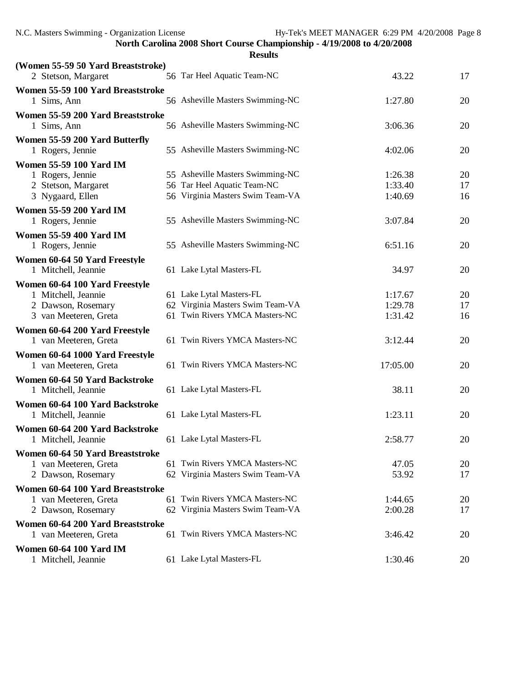**Results (Women 55-59 50 Yard Breaststroke)** 2 Stetson, Margaret 56 Tar Heel Aquatic Team-NC 43.22 17 **Women 55-59 100 Yard Breaststroke** 1 Sims, Ann 56 Asheville Masters Swimming-NC 1:27.80 20 **Women 55-59 200 Yard Breaststroke** 1 Sims, Ann 56 Asheville Masters Swimming-NC 3:06.36 20 **Women 55-59 200 Yard Butterfly** 1 Rogers, Jennie 55 Asheville Masters Swimming-NC 4:02.06 20 **Women 55-59 100 Yard IM** 1 Rogers, Jennie 55 Asheville Masters Swimming-NC 1:26.38 20 2 Stetson, Margaret 56 Tar Heel Aquatic Team-NC 1:33.40 17 3 Nygaard, Ellen 56 Virginia Masters Swim Team-VA 1:40.69 16 **Women 55-59 200 Yard IM** 1 Rogers, Jennie 55 Asheville Masters Swimming-NC 3:07.84 20 **Women 55-59 400 Yard IM** 1 Rogers, Jennie 55 Asheville Masters Swimming-NC 6:51.16 20 **Women 60-64 50 Yard Freestyle** 1 Mitchell, Jeannie 61 Lake Lytal Masters-FL 34.97 20 **Women 60-64 100 Yard Freestyle** 1 Mitchell, Jeannie 61 Lake Lytal Masters-FL 1:17.67 20 2 Dawson, Rosemary 62 Virginia Masters Swim Team-VA 1:29.78 17 3 van Meeteren, Greta 61 Twin Rivers YMCA Masters-NC 1:31.42 16 **Women 60-64 200 Yard Freestyle** 1 van Meeteren, Greta 61 Twin Rivers YMCA Masters-NC 3:12.44 20 **Women 60-64 1000 Yard Freestyle** 1 van Meeteren, Greta 61 Twin Rivers YMCA Masters-NC 17:05.00 20 **Women 60-64 50 Yard Backstroke** 1 Mitchell, Jacob 20 and Masters-FL 38.11 20 **Women 60-64 100 Yard Backstroke** 1 Mitchell, Jeannie 61 Lake Lytal Masters-FL 1:23.11 20 **Women 60-64 200 Yard Backstroke** 1 Mitchell, Jeannie 61 Lake Lytal Masters-FL 2:58.77 20 **Women 60-64 50 Yard Breaststroke** 1 van Meeteren, Greta 61 Twin Rivers YMCA Masters-NC 47.05 20 2 Dawson, Rosemary 62 Virginia Masters Swim Team-VA 53.92 17 **Women 60-64 100 Yard Breaststroke** 1 van Meeteren, Greta 61 Twin Rivers YMCA Masters-NC 1:44.65 20 2 Dawson, Rosemary 62 Virginia Masters Swim Team-VA 2:00.28 17 **Women 60-64 200 Yard Breaststroke** 1 van Meeteren, Greta 61 Twin Rivers YMCA Masters-NC 3:46.42 20 **Women 60-64 100 Yard IM** 1 Mitchell, Jeannie 61 Lake Lytal Masters-FL 1:30.46 20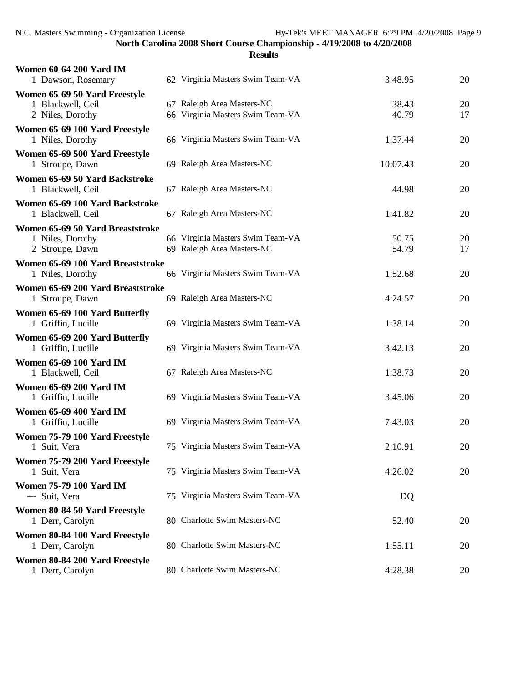| <b>Women 60-64 200 Yard IM</b><br>1 Dawson, Rosemary  | 62 Virginia Masters Swim Team-VA | 3:48.95  | 20 |
|-------------------------------------------------------|----------------------------------|----------|----|
| Women 65-69 50 Yard Freestyle                         |                                  |          |    |
| 1 Blackwell, Ceil                                     | 67 Raleigh Area Masters-NC       | 38.43    | 20 |
| 2 Niles, Dorothy                                      | 66 Virginia Masters Swim Team-VA | 40.79    | 17 |
| Women 65-69 100 Yard Freestyle<br>1 Niles, Dorothy    | 66 Virginia Masters Swim Team-VA | 1:37.44  | 20 |
| Women 65-69 500 Yard Freestyle<br>1 Stroupe, Dawn     | 69 Raleigh Area Masters-NC       | 10:07.43 | 20 |
| Women 65-69 50 Yard Backstroke<br>1 Blackwell, Ceil   | 67 Raleigh Area Masters-NC       | 44.98    | 20 |
| Women 65-69 100 Yard Backstroke<br>1 Blackwell, Ceil  | 67 Raleigh Area Masters-NC       | 1:41.82  | 20 |
| Women 65-69 50 Yard Breaststroke                      |                                  |          |    |
| 1 Niles, Dorothy                                      | 66 Virginia Masters Swim Team-VA | 50.75    | 20 |
| 2 Stroupe, Dawn                                       | 69 Raleigh Area Masters-NC       | 54.79    | 17 |
| Women 65-69 100 Yard Breaststroke<br>1 Niles, Dorothy | 66 Virginia Masters Swim Team-VA | 1:52.68  | 20 |
| Women 65-69 200 Yard Breaststroke                     |                                  |          |    |
| 1 Stroupe, Dawn                                       | 69 Raleigh Area Masters-NC       | 4:24.57  | 20 |
| Women 65-69 100 Yard Butterfly<br>1 Griffin, Lucille  | 69 Virginia Masters Swim Team-VA | 1:38.14  | 20 |
| Women 65-69 200 Yard Butterfly<br>1 Griffin, Lucille  | 69 Virginia Masters Swim Team-VA | 3:42.13  | 20 |
| <b>Women 65-69 100 Yard IM</b><br>1 Blackwell, Ceil   | 67 Raleigh Area Masters-NC       | 1:38.73  | 20 |
| <b>Women 65-69 200 Yard IM</b><br>1 Griffin, Lucille  | 69 Virginia Masters Swim Team-VA | 3:45.06  | 20 |
| <b>Women 65-69 400 Yard IM</b>                        |                                  |          |    |
| 1 Griffin, Lucille                                    | 69 Virginia Masters Swim Team-VA | 7:43.03  | 20 |
| Women 75-79 100 Yard Freestyle<br>1 Suit, Vera        | 75 Virginia Masters Swim Team-VA | 2:10.91  | 20 |
| Women 75-79 200 Yard Freestyle<br>1 Suit, Vera        | 75 Virginia Masters Swim Team-VA | 4:26.02  | 20 |
| <b>Women 75-79 100 Yard IM</b><br>--- Suit, Vera      | 75 Virginia Masters Swim Team-VA | DQ       |    |
| Women 80-84 50 Yard Freestyle                         |                                  |          |    |
| 1 Derr, Carolyn                                       | 80 Charlotte Swim Masters-NC     | 52.40    | 20 |
| Women 80-84 100 Yard Freestyle<br>1 Derr, Carolyn     | 80 Charlotte Swim Masters-NC     | 1:55.11  | 20 |
| Women 80-84 200 Yard Freestyle<br>1 Derr, Carolyn     | 80 Charlotte Swim Masters-NC     | 4:28.38  | 20 |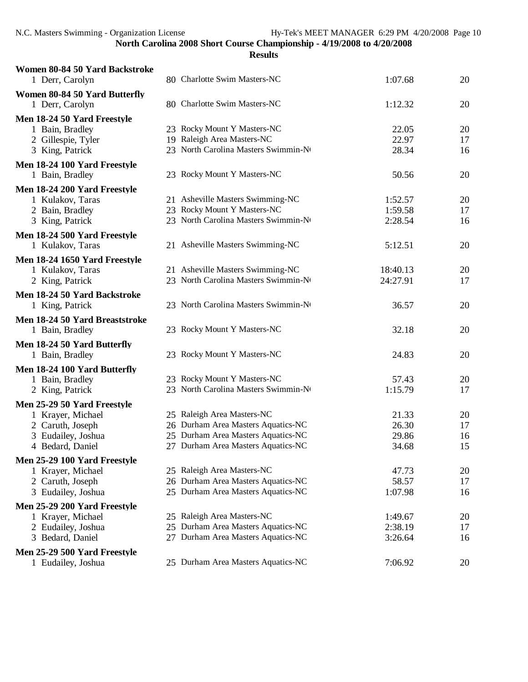| Women 80-84 50 Yard Backstroke<br>1 Derr, Carolyn | 80 Charlotte Swim Masters-NC         | 1:07.68  | 20 |
|---------------------------------------------------|--------------------------------------|----------|----|
| Women 80-84 50 Yard Butterfly                     |                                      |          |    |
| 1 Derr, Carolyn                                   | 80 Charlotte Swim Masters-NC         | 1:12.32  | 20 |
| Men 18-24 50 Yard Freestyle                       |                                      |          |    |
| 1 Bain, Bradley                                   | 23 Rocky Mount Y Masters-NC          | 22.05    | 20 |
| 2 Gillespie, Tyler                                | 19 Raleigh Area Masters-NC           | 22.97    | 17 |
| 3 King, Patrick                                   | 23 North Carolina Masters Swimmin-No | 28.34    | 16 |
| Men 18-24 100 Yard Freestyle                      |                                      |          |    |
| 1 Bain, Bradley                                   | 23 Rocky Mount Y Masters-NC          | 50.56    | 20 |
| Men 18-24 200 Yard Freestyle                      |                                      |          |    |
| 1 Kulakov, Taras                                  | 21 Asheville Masters Swimming-NC     | 1:52.57  | 20 |
| 2 Bain, Bradley                                   | 23 Rocky Mount Y Masters-NC          | 1:59.58  | 17 |
| 3 King, Patrick                                   | 23 North Carolina Masters Swimmin-No | 2:28.54  | 16 |
| Men 18-24 500 Yard Freestyle                      |                                      |          |    |
| 1 Kulakov, Taras                                  | 21 Asheville Masters Swimming-NC     | 5:12.51  | 20 |
| Men 18-24 1650 Yard Freestyle                     |                                      |          |    |
| 1 Kulakov, Taras                                  | 21 Asheville Masters Swimming-NC     | 18:40.13 | 20 |
| 2 King, Patrick                                   | 23 North Carolina Masters Swimmin-No | 24:27.91 | 17 |
| Men 18-24 50 Yard Backstroke                      |                                      |          |    |
| 1 King, Patrick                                   | 23 North Carolina Masters Swimmin-No | 36.57    | 20 |
| Men 18-24 50 Yard Breaststroke                    |                                      |          |    |
| 1 Bain, Bradley                                   | 23 Rocky Mount Y Masters-NC          | 32.18    | 20 |
| Men 18-24 50 Yard Butterfly                       |                                      |          |    |
| 1 Bain, Bradley                                   | 23 Rocky Mount Y Masters-NC          | 24.83    | 20 |
| Men 18-24 100 Yard Butterfly                      |                                      |          |    |
| 1 Bain, Bradley                                   | 23 Rocky Mount Y Masters-NC          | 57.43    | 20 |
| 2 King, Patrick                                   | 23 North Carolina Masters Swimmin-No | 1:15.79  | 17 |
| Men 25-29 50 Yard Freestyle                       |                                      |          |    |
| 1 Krayer, Michael                                 | 25 Raleigh Area Masters-NC           | 21.33    | 20 |
| 2 Caruth, Joseph                                  | 26 Durham Area Masters Aquatics-NC   | 26.30    | 17 |
| 3 Eudailey, Joshua                                | 25 Durham Area Masters Aquatics-NC   | 29.86    | 16 |
| 4 Bedard, Daniel                                  | 27 Durham Area Masters Aquatics-NC   | 34.68    | 15 |
| Men 25-29 100 Yard Freestyle                      |                                      |          |    |
| 1 Krayer, Michael                                 | 25 Raleigh Area Masters-NC           | 47.73    | 20 |
| 2 Caruth, Joseph                                  | 26 Durham Area Masters Aquatics-NC   | 58.57    | 17 |
| 3 Eudailey, Joshua                                | 25 Durham Area Masters Aquatics-NC   | 1:07.98  | 16 |
| Men 25-29 200 Yard Freestyle                      |                                      |          |    |
| 1 Krayer, Michael                                 | 25 Raleigh Area Masters-NC           | 1:49.67  | 20 |
| 2 Eudailey, Joshua                                | 25 Durham Area Masters Aquatics-NC   | 2:38.19  | 17 |
| 3 Bedard, Daniel                                  | 27 Durham Area Masters Aquatics-NC   | 3:26.64  | 16 |
| Men 25-29 500 Yard Freestyle                      |                                      |          |    |
| 1 Eudailey, Joshua                                | 25 Durham Area Masters Aquatics-NC   | 7:06.92  | 20 |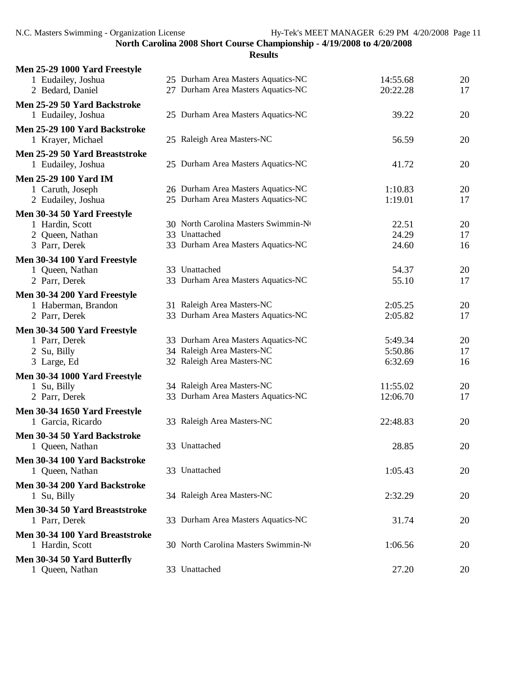| Men 25-29 1000 Yard Freestyle                        |                                                                          |                      |          |
|------------------------------------------------------|--------------------------------------------------------------------------|----------------------|----------|
| 1 Eudailey, Joshua<br>2 Bedard, Daniel               | 25 Durham Area Masters Aquatics-NC<br>27 Durham Area Masters Aquatics-NC | 14:55.68<br>20:22.28 | 20<br>17 |
| Men 25-29 50 Yard Backstroke<br>1 Eudailey, Joshua   | 25 Durham Area Masters Aquatics-NC                                       | 39.22                | 20       |
| Men 25-29 100 Yard Backstroke<br>1 Krayer, Michael   | 25 Raleigh Area Masters-NC                                               | 56.59                | 20       |
| Men 25-29 50 Yard Breaststroke<br>1 Eudailey, Joshua | 25 Durham Area Masters Aquatics-NC                                       | 41.72                | 20       |
| <b>Men 25-29 100 Yard IM</b><br>1 Caruth, Joseph     | 26 Durham Area Masters Aquatics-NC                                       | 1:10.83              | 20       |
| 2 Eudailey, Joshua                                   | 25 Durham Area Masters Aquatics-NC                                       | 1:19.01              | 17       |
| Men 30-34 50 Yard Freestyle                          |                                                                          |                      |          |
| 1 Hardin, Scott                                      | 30 North Carolina Masters Swimmin-No                                     | 22.51                | 20       |
| 2 Queen, Nathan<br>3 Parr, Derek                     | 33 Unattached<br>33 Durham Area Masters Aquatics-NC                      | 24.29<br>24.60       | 17<br>16 |
| Men 30-34 100 Yard Freestyle                         |                                                                          |                      |          |
| 1 Queen, Nathan                                      | 33 Unattached                                                            | 54.37                | 20       |
| 2 Parr, Derek                                        | 33 Durham Area Masters Aquatics-NC                                       | 55.10                | 17       |
| Men 30-34 200 Yard Freestyle                         |                                                                          |                      |          |
| 1 Haberman, Brandon                                  | 31 Raleigh Area Masters-NC                                               | 2:05.25              | 20       |
| 2 Parr, Derek                                        | 33 Durham Area Masters Aquatics-NC                                       | 2:05.82              | 17       |
| Men 30-34 500 Yard Freestyle<br>1 Parr, Derek        | 33 Durham Area Masters Aquatics-NC                                       | 5:49.34              | 20       |
| 2 Su, Billy                                          | 34 Raleigh Area Masters-NC                                               | 5:50.86              | 17       |
| 3 Large, Ed                                          | 32 Raleigh Area Masters-NC                                               | 6:32.69              | 16       |
| Men 30-34 1000 Yard Freestyle                        |                                                                          |                      |          |
| 1 Su, Billy                                          | 34 Raleigh Area Masters-NC                                               | 11:55.02             | 20       |
| 2 Parr, Derek                                        | 33 Durham Area Masters Aquatics-NC                                       | 12:06.70             | 17       |
| Men 30-34 1650 Yard Freestyle<br>1 Garcia, Ricardo   | 33 Raleigh Area Masters-NC                                               | 22:48.83             | 20       |
| Men 30-34 50 Yard Backstroke                         |                                                                          |                      |          |
| 1 Queen, Nathan                                      | 33 Unattached                                                            | 28.85                | 20       |
| Men 30-34 100 Yard Backstroke<br>1 Queen, Nathan     | 33 Unattached                                                            | 1:05.43              | 20       |
| Men 30-34 200 Yard Backstroke<br>1 Su, Billy         | 34 Raleigh Area Masters-NC                                               | 2:32.29              | 20       |
| Men 30-34 50 Yard Breaststroke<br>1 Parr, Derek      | 33 Durham Area Masters Aquatics-NC                                       | 31.74                | 20       |
| Men 30-34 100 Yard Breaststroke<br>1 Hardin, Scott   | 30 North Carolina Masters Swimmin-No                                     | 1:06.56              | 20       |
| Men 30-34 50 Yard Butterfly<br>1 Queen, Nathan       | 33 Unattached                                                            | 27.20                | 20       |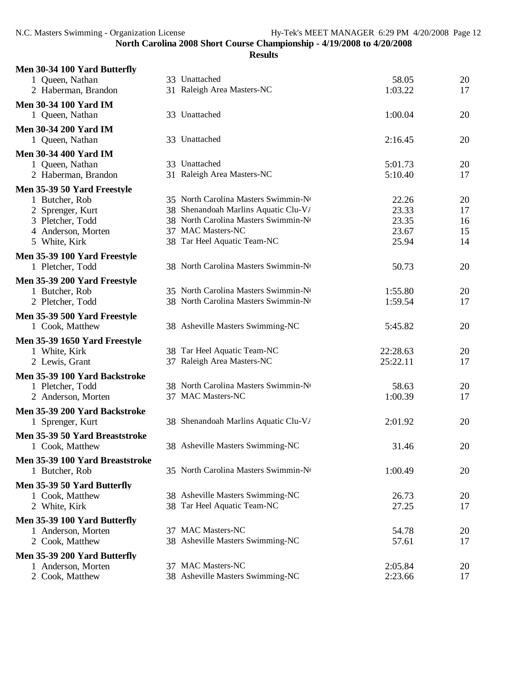| Men 30-34 100 Yard Butterfly                    |                                      |          |    |
|-------------------------------------------------|--------------------------------------|----------|----|
| 1 Queen, Nathan                                 | 33 Unattached                        | 58.05    | 20 |
| 2 Haberman, Brandon                             | 31 Raleigh Area Masters-NC           | 1:03.22  | 17 |
| <b>Men 30-34 100 Yard IM</b>                    |                                      |          |    |
| 1 Queen, Nathan                                 | 33 Unattached                        | 1:00.04  | 20 |
| <b>Men 30-34 200 Yard IM</b>                    |                                      |          |    |
| 1 Queen, Nathan                                 | 33 Unattached                        | 2:16.45  | 20 |
| <b>Men 30-34 400 Yard IM</b>                    |                                      |          |    |
| 1 Queen, Nathan                                 | 33 Unattached                        | 5:01.73  | 20 |
| 2 Haberman, Brandon                             | 31 Raleigh Area Masters-NC           | 5:10.40  | 17 |
| Men 35-39 50 Yard Freestyle                     |                                      |          |    |
| 1 Butcher, Rob                                  | 35 North Carolina Masters Swimmin-No | 22.26    | 20 |
| 2 Sprenger, Kurt                                | 38 Shenandoah Marlins Aquatic Clu-V/ | 23.33    | 17 |
| 3 Pletcher, Todd                                | 38 North Carolina Masters Swimmin-No | 23.35    | 16 |
| 4 Anderson, Morten                              | 37 MAC Masters-NC                    | 23.67    | 15 |
| 5 White, Kirk                                   | 38 Tar Heel Aquatic Team-NC          | 25.94    | 14 |
| Men 35-39 100 Yard Freestyle                    |                                      |          |    |
| 1 Pletcher, Todd                                | 38 North Carolina Masters Swimmin-No | 50.73    | 20 |
| Men 35-39 200 Yard Freestyle                    |                                      |          |    |
| 1 Butcher, Rob                                  | 35 North Carolina Masters Swimmin-No | 1:55.80  | 20 |
| 2 Pletcher, Todd                                | 38 North Carolina Masters Swimmin-No | 1:59.54  | 17 |
|                                                 |                                      |          |    |
| Men 35-39 500 Yard Freestyle<br>1 Cook, Matthew | 38 Asheville Masters Swimming-NC     | 5:45.82  | 20 |
|                                                 |                                      |          |    |
| Men 35-39 1650 Yard Freestyle                   |                                      |          |    |
| 1 White, Kirk                                   | 38 Tar Heel Aquatic Team-NC          | 22:28.63 | 20 |
| 2 Lewis, Grant                                  | 37 Raleigh Area Masters-NC           | 25:22.11 | 17 |
| Men 35-39 100 Yard Backstroke                   |                                      |          |    |
| 1 Pletcher, Todd                                | 38 North Carolina Masters Swimmin-No | 58.63    | 20 |
| 2 Anderson, Morten                              | 37 MAC Masters-NC                    | 1:00.39  | 17 |
| Men 35-39 200 Yard Backstroke                   |                                      |          |    |
| 1 Sprenger, Kurt                                | 38 Shenandoah Marlins Aquatic Clu-V/ | 2:01.92  | 20 |
| Men 35-39 50 Yard Breaststroke                  |                                      |          |    |
| 1 Cook, Matthew                                 | 38 Asheville Masters Swimming-NC     | 31.46    | 20 |
| Men 35-39 100 Yard Breaststroke                 |                                      |          |    |
| 1 Butcher, Rob                                  | 35 North Carolina Masters Swimmin-No | 1:00.49  | 20 |
|                                                 |                                      |          |    |
| Men 35-39 50 Yard Butterfly                     |                                      |          |    |
| 1 Cook, Matthew                                 | 38 Asheville Masters Swimming-NC     | 26.73    | 20 |
| 2 White, Kirk                                   | 38 Tar Heel Aquatic Team-NC          | 27.25    | 17 |
| Men 35-39 100 Yard Butterfly                    |                                      |          |    |
| 1 Anderson, Morten                              | 37 MAC Masters-NC                    | 54.78    | 20 |
| 2 Cook, Matthew                                 | 38 Asheville Masters Swimming-NC     | 57.61    | 17 |
| Men 35-39 200 Yard Butterfly                    |                                      |          |    |
| 1 Anderson, Morten                              | 37 MAC Masters-NC                    | 2:05.84  | 20 |
| 2 Cook, Matthew                                 | 38 Asheville Masters Swimming-NC     | 2:23.66  | 17 |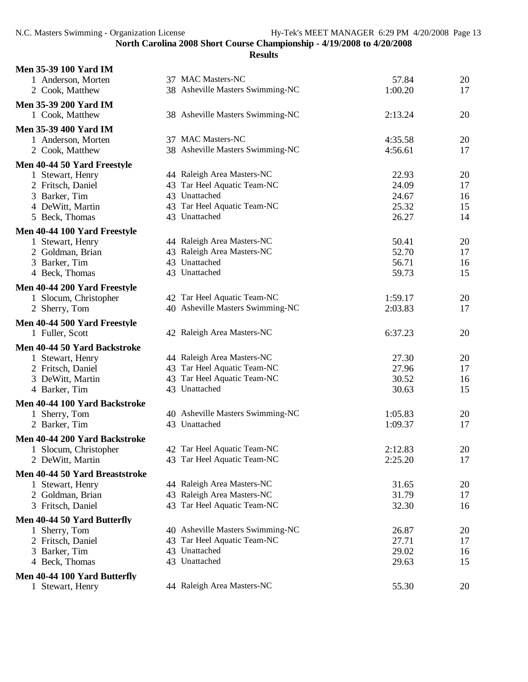| <b>Men 35-39 100 Yard IM</b>   |                                  |         |    |
|--------------------------------|----------------------------------|---------|----|
| 1 Anderson, Morten             | 37 MAC Masters-NC                | 57.84   | 20 |
| 2 Cook, Matthew                | 38 Asheville Masters Swimming-NC | 1:00.20 | 17 |
| Men 35-39 200 Yard IM          |                                  |         |    |
| 1 Cook, Matthew                | 38 Asheville Masters Swimming-NC | 2:13.24 | 20 |
|                                |                                  |         |    |
| <b>Men 35-39 400 Yard IM</b>   |                                  |         |    |
| 1 Anderson, Morten             | 37 MAC Masters-NC                | 4:35.58 | 20 |
| 2 Cook, Matthew                | 38 Asheville Masters Swimming-NC | 4:56.61 | 17 |
| Men 40-44 50 Yard Freestyle    |                                  |         |    |
| 1 Stewart, Henry               | 44 Raleigh Area Masters-NC       | 22.93   | 20 |
| 2 Fritsch, Daniel              | 43 Tar Heel Aquatic Team-NC      | 24.09   | 17 |
| 3 Barker, Tim                  | 43 Unattached                    | 24.67   | 16 |
| 4 DeWitt, Martin               | 43 Tar Heel Aquatic Team-NC      | 25.32   | 15 |
| 5 Beck, Thomas                 | 43 Unattached                    | 26.27   | 14 |
| Men 40-44 100 Yard Freestyle   |                                  |         |    |
| 1 Stewart, Henry               | 44 Raleigh Area Masters-NC       | 50.41   | 20 |
| 2 Goldman, Brian               | 43 Raleigh Area Masters-NC       | 52.70   | 17 |
| 3 Barker, Tim                  | 43 Unattached                    | 56.71   | 16 |
| 4 Beck, Thomas                 | 43 Unattached                    | 59.73   | 15 |
|                                |                                  |         |    |
| Men 40-44 200 Yard Freestyle   |                                  |         |    |
| 1 Slocum, Christopher          | 42 Tar Heel Aquatic Team-NC      | 1:59.17 | 20 |
| 2 Sherry, Tom                  | 40 Asheville Masters Swimming-NC | 2:03.83 | 17 |
| Men 40-44 500 Yard Freestyle   |                                  |         |    |
| 1 Fuller, Scott                | 42 Raleigh Area Masters-NC       | 6:37.23 | 20 |
| Men 40-44 50 Yard Backstroke   |                                  |         |    |
| 1 Stewart, Henry               | 44 Raleigh Area Masters-NC       | 27.30   | 20 |
| 2 Fritsch, Daniel              | 43 Tar Heel Aquatic Team-NC      | 27.96   | 17 |
| 3 DeWitt, Martin               | 43 Tar Heel Aquatic Team-NC      | 30.52   | 16 |
| 4 Barker, Tim                  | 43 Unattached                    | 30.63   | 15 |
| Men 40-44 100 Yard Backstroke  |                                  |         |    |
| 1 Sherry, Tom                  | 40 Asheville Masters Swimming-NC | 1:05.83 | 20 |
| 2 Barker, Tim                  | 43 Unattached                    | 1:09.37 | 17 |
|                                |                                  |         |    |
| Men 40-44 200 Yard Backstroke  |                                  |         |    |
| Slocum, Christopher            | 42 Tar Heel Aquatic Team-NC      | 2:12.83 | 20 |
| 2 DeWitt, Martin               | 43 Tar Heel Aquatic Team-NC      | 2:25.20 | 17 |
| Men 40-44 50 Yard Breaststroke |                                  |         |    |
| 1 Stewart, Henry               | 44 Raleigh Area Masters-NC       | 31.65   | 20 |
| 2 Goldman, Brian               | 43 Raleigh Area Masters-NC       | 31.79   | 17 |
| 3 Fritsch, Daniel              | 43 Tar Heel Aquatic Team-NC      | 32.30   | 16 |
| Men 40-44 50 Yard Butterfly    |                                  |         |    |
| 1 Sherry, Tom                  | 40 Asheville Masters Swimming-NC | 26.87   | 20 |
| 2 Fritsch, Daniel              | 43 Tar Heel Aquatic Team-NC      | 27.71   | 17 |
| 3 Barker, Tim                  | 43 Unattached                    | 29.02   | 16 |
| 4 Beck, Thomas                 | 43 Unattached                    | 29.63   | 15 |
|                                |                                  |         |    |
| Men 40-44 100 Yard Butterfly   | 44 Raleigh Area Masters-NC       |         |    |
| 1 Stewart, Henry               |                                  | 55.30   | 20 |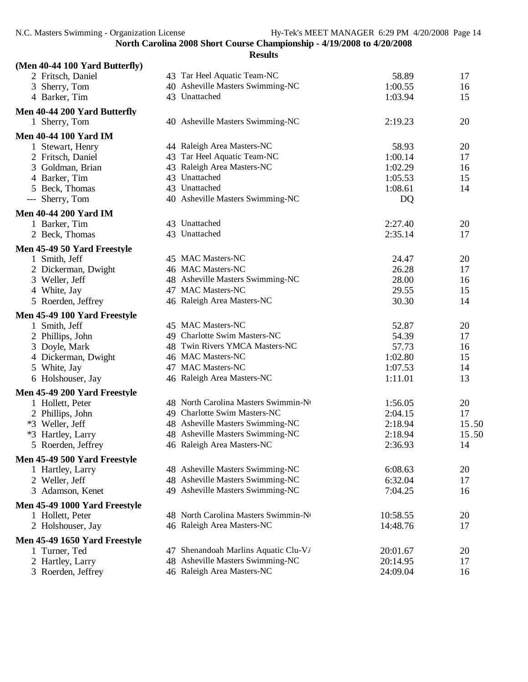| (Men 40-44 100 Yard Butterfly)     |                                      |          |       |
|------------------------------------|--------------------------------------|----------|-------|
| 2 Fritsch, Daniel                  | 43 Tar Heel Aquatic Team-NC          | 58.89    | 17    |
| 3 Sherry, Tom                      | 40 Asheville Masters Swimming-NC     | 1:00.55  | 16    |
| 4 Barker, Tim                      | 43 Unattached                        | 1:03.94  | 15    |
| Men 40-44 200 Yard Butterfly       |                                      |          |       |
| 1 Sherry, Tom                      | 40 Asheville Masters Swimming-NC     | 2:19.23  | 20    |
| <b>Men 40-44 100 Yard IM</b>       |                                      |          |       |
| 1 Stewart, Henry                   | 44 Raleigh Area Masters-NC           | 58.93    | 20    |
| 2 Fritsch, Daniel                  | 43 Tar Heel Aquatic Team-NC          | 1:00.14  | 17    |
| 3 Goldman, Brian                   | 43 Raleigh Area Masters-NC           | 1:02.29  | 16    |
| 4 Barker, Tim                      | 43 Unattached                        | 1:05.53  | 15    |
| 5 Beck, Thomas                     | 43 Unattached                        | 1:08.61  | 14    |
| --- Sherry, Tom                    | 40 Asheville Masters Swimming-NC     | DQ       |       |
| <b>Men 40-44 200 Yard IM</b>       |                                      |          |       |
| 1 Barker, Tim                      | 43 Unattached                        | 2:27.40  | 20    |
| 2 Beck, Thomas                     | 43 Unattached                        | 2:35.14  | 17    |
| Men 45-49 50 Yard Freestyle        |                                      |          |       |
| 1 Smith, Jeff                      | 45 MAC Masters-NC                    | 24.47    | 20    |
| 2 Dickerman, Dwight                | 46 MAC Masters-NC                    | 26.28    | 17    |
| 3 Weller, Jeff                     | 48 Asheville Masters Swimming-NC     | 28.00    | 16    |
| 4 White, Jay                       | 47 MAC Masters-NC                    | 29.55    | 15    |
| 5 Roerden, Jeffrey                 | 46 Raleigh Area Masters-NC           | 30.30    | 14    |
| Men 45-49 100 Yard Freestyle       |                                      |          |       |
| 1 Smith, Jeff                      | 45 MAC Masters-NC                    | 52.87    | 20    |
| 2 Phillips, John                   | 49 Charlotte Swim Masters-NC         | 54.39    | 17    |
| 3 Doyle, Mark                      | 48 Twin Rivers YMCA Masters-NC       | 57.73    | 16    |
| 4 Dickerman, Dwight                | 46 MAC Masters-NC                    | 1:02.80  | 15    |
| 5 White, Jay                       | 47 MAC Masters-NC                    | 1:07.53  | 14    |
| 6 Holshouser, Jay                  | 46 Raleigh Area Masters-NC           | 1:11.01  | 13    |
| Men 45-49 200 Yard Freestyle       |                                      |          |       |
| 1 Hollett, Peter                   | 48 North Carolina Masters Swimmin-No | 1:56.05  | 20    |
| 2 Phillips, John                   | 49 Charlotte Swim Masters-NC         | 2:04.15  | 17    |
| *3 Weller, Jeff                    | 48 Asheville Masters Swimming-NC     | 2:18.94  | 15.50 |
| *3 Hartley, Larry                  | 48 Asheville Masters Swimming-NC     | 2:18.94  | 15.50 |
| 5 <sup>1</sup><br>Roerden, Jeffrey | 46 Raleigh Area Masters-NC           | 2:36.93  | 14    |
| Men 45-49 500 Yard Freestyle       |                                      |          |       |
| 1 Hartley, Larry                   | 48 Asheville Masters Swimming-NC     | 6:08.63  | 20    |
| 2 Weller, Jeff                     | 48 Asheville Masters Swimming-NC     | 6:32.04  | 17    |
| 3 Adamson, Kenet                   | 49 Asheville Masters Swimming-NC     | 7:04.25  | 16    |
| Men 45-49 1000 Yard Freestyle      |                                      |          |       |
| 1 Hollett, Peter                   | 48 North Carolina Masters Swimmin-No | 10:58.55 | 20    |
| 2 Holshouser, Jay                  | 46 Raleigh Area Masters-NC           | 14:48.76 | 17    |
| Men 45-49 1650 Yard Freestyle      |                                      |          |       |
| 1 Turner, Ted                      | 47 Shenandoah Marlins Aquatic Clu-V/ | 20:01.67 | 20    |
| 2 Hartley, Larry                   | 48 Asheville Masters Swimming-NC     | 20:14.95 | 17    |
| 3 Roerden, Jeffrey                 | 46 Raleigh Area Masters-NC           | 24:09.04 | 16    |
|                                    |                                      |          |       |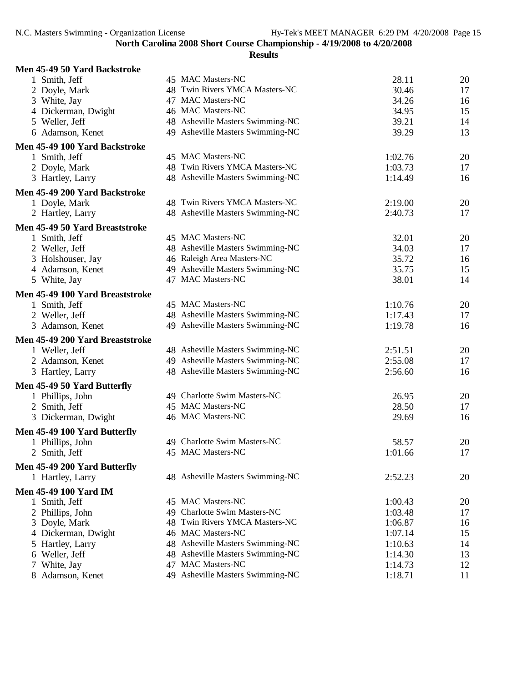| Men 45-49 50 Yard Backstroke    |                                  |         |          |
|---------------------------------|----------------------------------|---------|----------|
| 1 Smith, Jeff                   | 45 MAC Masters-NC                | 28.11   | 20       |
| 2 Doyle, Mark                   | 48 Twin Rivers YMCA Masters-NC   | 30.46   | 17       |
| 3 White, Jay                    | 47 MAC Masters-NC                | 34.26   | 16       |
| 4 Dickerman, Dwight             | 46 MAC Masters-NC                | 34.95   | 15       |
| 5 Weller, Jeff                  | 48 Asheville Masters Swimming-NC | 39.21   | 14       |
| 6 Adamson, Kenet                | 49 Asheville Masters Swimming-NC | 39.29   | 13       |
| Men 45-49 100 Yard Backstroke   |                                  |         |          |
| 1 Smith, Jeff                   | 45 MAC Masters-NC                | 1:02.76 | 20       |
| 2 Doyle, Mark                   | 48 Twin Rivers YMCA Masters-NC   | 1:03.73 | 17       |
| 3 Hartley, Larry                | 48 Asheville Masters Swimming-NC | 1:14.49 | 16       |
| Men 45-49 200 Yard Backstroke   |                                  |         |          |
| 1 Doyle, Mark                   | 48 Twin Rivers YMCA Masters-NC   | 2:19.00 | 20       |
| 2 Hartley, Larry                | 48 Asheville Masters Swimming-NC | 2:40.73 | 17       |
| Men 45-49 50 Yard Breaststroke  |                                  |         |          |
| 1 Smith, Jeff                   | 45 MAC Masters-NC                | 32.01   | 20       |
| 2 Weller, Jeff                  | 48 Asheville Masters Swimming-NC | 34.03   | 17       |
| 3 Holshouser, Jay               | 46 Raleigh Area Masters-NC       | 35.72   | 16       |
| 4 Adamson, Kenet                | 49 Asheville Masters Swimming-NC | 35.75   | 15       |
| 5 White, Jay                    | 47 MAC Masters-NC                | 38.01   | 14       |
|                                 |                                  |         |          |
| Men 45-49 100 Yard Breaststroke | 45 MAC Masters-NC                | 1:10.76 |          |
| 1 Smith, Jeff                   | 48 Asheville Masters Swimming-NC | 1:17.43 | 20<br>17 |
| 2 Weller, Jeff                  | 49 Asheville Masters Swimming-NC |         |          |
| 3 Adamson, Kenet                |                                  | 1:19.78 | 16       |
| Men 45-49 200 Yard Breaststroke |                                  |         |          |
| 1 Weller, Jeff                  | 48 Asheville Masters Swimming-NC | 2:51.51 | 20       |
| 2 Adamson, Kenet                | 49 Asheville Masters Swimming-NC | 2:55.08 | 17       |
| 3 Hartley, Larry                | 48 Asheville Masters Swimming-NC | 2:56.60 | 16       |
| Men 45-49 50 Yard Butterfly     |                                  |         |          |
| 1 Phillips, John                | 49 Charlotte Swim Masters-NC     | 26.95   | 20       |
| 2 Smith, Jeff                   | 45 MAC Masters-NC                | 28.50   | 17       |
| 3 Dickerman, Dwight             | 46 MAC Masters-NC                | 29.69   | 16       |
| Men 45-49 100 Yard Butterfly    |                                  |         |          |
| 1 Phillips, John                | 49 Charlotte Swim Masters-NC     | 58.57   | 20       |
| 2 Smith, Jeff                   | 45 MAC Masters-NC                | 1:01.66 | 17       |
| Men 45-49 200 Yard Butterfly    |                                  |         |          |
| 1 Hartley, Larry                | 48 Asheville Masters Swimming-NC | 2:52.23 | 20       |
| <b>Men 45-49 100 Yard IM</b>    |                                  |         |          |
| 1 Smith, Jeff                   | 45 MAC Masters-NC                | 1:00.43 | 20       |
| 2 Phillips, John                | 49 Charlotte Swim Masters-NC     | 1:03.48 | 17       |
| 3 Doyle, Mark                   | 48 Twin Rivers YMCA Masters-NC   | 1:06.87 | 16       |
| 4 Dickerman, Dwight             | 46 MAC Masters-NC                | 1:07.14 | 15       |
| 5 Hartley, Larry                | 48 Asheville Masters Swimming-NC | 1:10.63 | 14       |
| 6 Weller, Jeff                  | 48 Asheville Masters Swimming-NC | 1:14.30 | 13       |
| 7 White, Jay                    | 47 MAC Masters-NC                | 1:14.73 | 12       |
| 8 Adamson, Kenet                | 49 Asheville Masters Swimming-NC | 1:18.71 | 11       |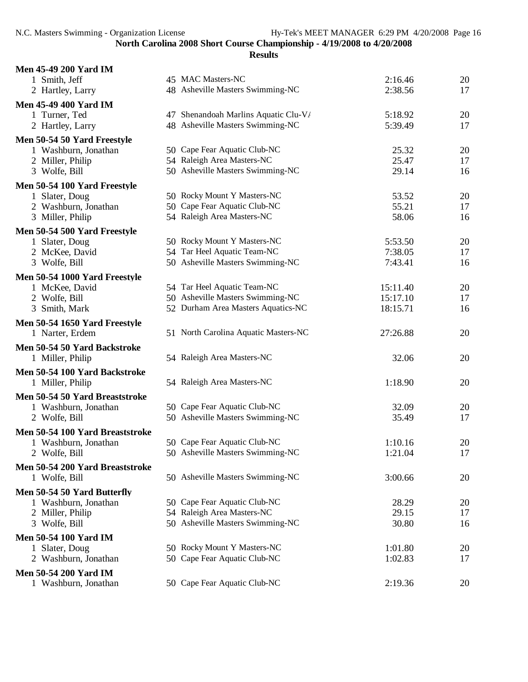| <b>Men 45-49 200 Yard IM</b>           |                                                             |          |          |
|----------------------------------------|-------------------------------------------------------------|----------|----------|
| 1 Smith, Jeff                          | 45 MAC Masters-NC                                           | 2:16.46  | 20       |
| 2 Hartley, Larry                       | 48 Asheville Masters Swimming-NC                            | 2:38.56  | 17       |
| <b>Men 45-49 400 Yard IM</b>           |                                                             |          |          |
| 1 Turner, Ted                          | 47 Shenandoah Marlins Aquatic Clu-V/                        | 5:18.92  | 20       |
| 2 Hartley, Larry                       | 48 Asheville Masters Swimming-NC                            | 5:39.49  | 17       |
| Men 50-54 50 Yard Freestyle            |                                                             |          |          |
| 1 Washburn, Jonathan                   | 50 Cape Fear Aquatic Club-NC                                | 25.32    | 20       |
| 2 Miller, Philip                       | 54 Raleigh Area Masters-NC                                  | 25.47    | 17       |
| 3 Wolfe, Bill                          | 50 Asheville Masters Swimming-NC                            | 29.14    | 16       |
|                                        |                                                             |          |          |
| Men 50-54 100 Yard Freestyle           | 50 Rocky Mount Y Masters-NC                                 | 53.52    |          |
| 1 Slater, Doug<br>2 Washburn, Jonathan | 50 Cape Fear Aquatic Club-NC                                | 55.21    | 20<br>17 |
| 3 Miller, Philip                       | 54 Raleigh Area Masters-NC                                  | 58.06    | 16       |
|                                        |                                                             |          |          |
| Men 50-54 500 Yard Freestyle           |                                                             |          |          |
| 1 Slater, Doug                         | 50 Rocky Mount Y Masters-NC                                 | 5:53.50  | 20       |
| 2 McKee, David                         | 54 Tar Heel Aquatic Team-NC                                 | 7:38.05  | 17       |
| 3 Wolfe, Bill                          | 50 Asheville Masters Swimming-NC                            | 7:43.41  | 16       |
| Men 50-54 1000 Yard Freestyle          |                                                             |          |          |
| 1 McKee, David                         | 54 Tar Heel Aquatic Team-NC                                 | 15:11.40 | 20       |
| 2 Wolfe, Bill                          | 50 Asheville Masters Swimming-NC                            | 15:17.10 | 17       |
| 3 Smith, Mark                          | 52 Durham Area Masters Aquatics-NC                          | 18:15.71 | 16       |
| Men 50-54 1650 Yard Freestyle          |                                                             |          |          |
| 1 Narter, Erdem                        | 51 North Carolina Aquatic Masters-NC                        | 27:26.88 | 20       |
| Men 50-54 50 Yard Backstroke           |                                                             |          |          |
| 1 Miller, Philip                       | 54 Raleigh Area Masters-NC                                  | 32.06    | 20       |
|                                        |                                                             |          |          |
| Men 50-54 100 Yard Backstroke          | 54 Raleigh Area Masters-NC                                  | 1:18.90  | 20       |
| 1 Miller, Philip                       |                                                             |          |          |
| Men 50-54 50 Yard Breaststroke         |                                                             |          |          |
| 1 Washburn, Jonathan                   | 50 Cape Fear Aquatic Club-NC                                | 32.09    | 20       |
| 2 Wolfe, Bill                          | 50 Asheville Masters Swimming-NC                            | 35.49    | 17       |
| Men 50-54 100 Yard Breaststroke        |                                                             |          |          |
| 1 Washburn, Jonathan                   | 50 Cape Fear Aquatic Club-NC                                | 1:10.16  | 20       |
| 2 Wolfe, Bill                          | 50 Asheville Masters Swimming-NC                            | 1:21.04  | 17       |
| Men 50-54 200 Yard Breaststroke        |                                                             |          |          |
| 1 Wolfe, Bill                          | 50 Asheville Masters Swimming-NC                            | 3:00.66  | 20       |
| Men 50-54 50 Yard Butterfly            |                                                             |          |          |
| 1 Washburn, Jonathan                   | 50 Cape Fear Aquatic Club-NC                                | 28.29    | 20       |
| 2 Miller, Philip                       | 54 Raleigh Area Masters-NC                                  | 29.15    | 17       |
| 3 Wolfe, Bill                          | 50 Asheville Masters Swimming-NC                            | 30.80    | 16       |
|                                        |                                                             |          |          |
| <b>Men 50-54 100 Yard IM</b>           |                                                             |          |          |
| 1 Slater, Doug                         | 50 Rocky Mount Y Masters-NC<br>50 Cape Fear Aquatic Club-NC | 1:01.80  | 20       |
| 2 Washburn, Jonathan                   |                                                             | 1:02.83  | 17       |
| <b>Men 50-54 200 Yard IM</b>           |                                                             |          |          |
| 1 Washburn, Jonathan                   | 50 Cape Fear Aquatic Club-NC                                | 2:19.36  | 20       |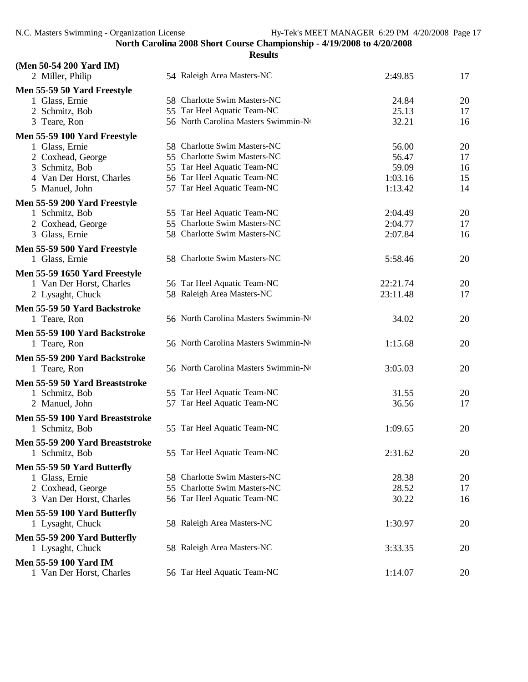| (Men 50-54 200 Yard IM)                       |                                      |          |          |
|-----------------------------------------------|--------------------------------------|----------|----------|
| 2 Miller, Philip                              | 54 Raleigh Area Masters-NC           | 2:49.85  | 17       |
| Men 55-59 50 Yard Freestyle                   |                                      |          |          |
| 1 Glass, Ernie                                | 58 Charlotte Swim Masters-NC         | 24.84    | 20       |
| 2 Schmitz, Bob                                | 55 Tar Heel Aquatic Team-NC          | 25.13    | 17       |
| 3 Teare, Ron                                  | 56 North Carolina Masters Swimmin-Nt | 32.21    | 16       |
| Men 55-59 100 Yard Freestyle                  |                                      |          |          |
| 1 Glass, Ernie                                | 58 Charlotte Swim Masters-NC         | 56.00    | 20       |
| 2 Coxhead, George                             | 55 Charlotte Swim Masters-NC         | 56.47    | 17       |
| 3 Schmitz, Bob                                | 55 Tar Heel Aquatic Team-NC          | 59.09    | 16       |
| 4 Van Der Horst, Charles                      | 56 Tar Heel Aquatic Team-NC          | 1:03.16  | 15       |
| 5 Manuel, John                                | 57 Tar Heel Aquatic Team-NC          | 1:13.42  | 14       |
| Men 55-59 200 Yard Freestyle                  |                                      |          |          |
| 1 Schmitz, Bob                                | 55 Tar Heel Aquatic Team-NC          | 2:04.49  | 20       |
| 2 Coxhead, George                             | 55 Charlotte Swim Masters-NC         | 2:04.77  | 17       |
| 3 Glass, Ernie                                | 58 Charlotte Swim Masters-NC         | 2:07.84  | 16       |
| Men 55-59 500 Yard Freestyle                  |                                      |          |          |
| 1 Glass, Ernie                                | 58 Charlotte Swim Masters-NC         | 5:58.46  | 20       |
| Men 55-59 1650 Yard Freestyle                 |                                      |          |          |
| 1 Van Der Horst, Charles                      | 56 Tar Heel Aquatic Team-NC          | 22:21.74 | 20       |
| 2 Lysaght, Chuck                              | 58 Raleigh Area Masters-NC           | 23:11.48 | 17       |
|                                               |                                      |          |          |
| Men 55-59 50 Yard Backstroke<br>1 Teare, Ron  | 56 North Carolina Masters Swimmin-No | 34.02    | 20       |
|                                               |                                      |          |          |
| Men 55-59 100 Yard Backstroke                 |                                      |          |          |
| 1 Teare, Ron                                  | 56 North Carolina Masters Swimmin-No | 1:15.68  | 20       |
| Men 55-59 200 Yard Backstroke                 |                                      |          |          |
| 1 Teare, Ron                                  | 56 North Carolina Masters Swimmin-No | 3:05.03  | 20       |
| Men 55-59 50 Yard Breaststroke                |                                      |          |          |
| 1 Schmitz, Bob                                | 55 Tar Heel Aquatic Team-NC          | 31.55    | 20       |
| 2 Manuel, John                                | 57 Tar Heel Aquatic Team-NC          | 36.56    | 17       |
| Men 55-59 100 Yard Breaststroke               |                                      |          |          |
| 1 Schmitz, Bob                                | 55 Tar Heel Aquatic Team-NC          | 1:09.65  | 20       |
| Men 55-59 200 Yard Breaststroke               |                                      |          |          |
| 1 Schmitz, Bob                                | 55 Tar Heel Aquatic Team-NC          | 2:31.62  | 20       |
|                                               |                                      |          |          |
| Men 55-59 50 Yard Butterfly<br>1 Glass, Ernie | 58 Charlotte Swim Masters-NC         | 28.38    |          |
| 2 Coxhead, George                             | 55 Charlotte Swim Masters-NC         | 28.52    | 20<br>17 |
| 3 Van Der Horst, Charles                      | 56 Tar Heel Aquatic Team-NC          | 30.22    | 16       |
|                                               |                                      |          |          |
| Men 55-59 100 Yard Butterfly                  |                                      |          |          |
| 1 Lysaght, Chuck                              | 58 Raleigh Area Masters-NC           | 1:30.97  | 20       |
| Men 55-59 200 Yard Butterfly                  |                                      |          |          |
| 1 Lysaght, Chuck                              | 58 Raleigh Area Masters-NC           | 3:33.35  | 20       |
| <b>Men 55-59 100 Yard IM</b>                  |                                      |          |          |
| 1 Van Der Horst, Charles                      | 56 Tar Heel Aquatic Team-NC          | 1:14.07  | 20       |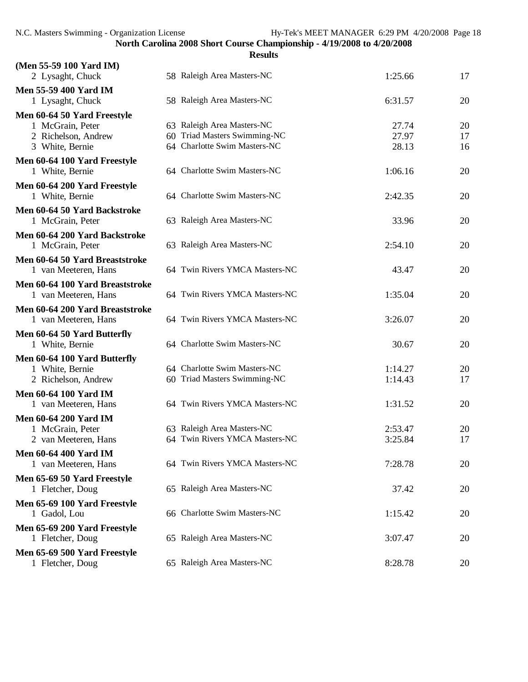|                                                 | <b>Results</b>                 |         |    |
|-------------------------------------------------|--------------------------------|---------|----|
| (Men 55-59 100 Yard IM)<br>2 Lysaght, Chuck     | 58 Raleigh Area Masters-NC     | 1:25.66 | 17 |
| <b>Men 55-59 400 Yard IM</b>                    |                                |         |    |
| 1 Lysaght, Chuck                                | 58 Raleigh Area Masters-NC     | 6:31.57 | 20 |
| Men 60-64 50 Yard Freestyle                     |                                |         |    |
| 1 McGrain, Peter                                | 63 Raleigh Area Masters-NC     | 27.74   | 20 |
| 2 Richelson, Andrew                             | 60 Triad Masters Swimming-NC   | 27.97   | 17 |
| 3 White, Bernie                                 | 64 Charlotte Swim Masters-NC   | 28.13   | 16 |
| Men 60-64 100 Yard Freestyle<br>1 White, Bernie | 64 Charlotte Swim Masters-NC   | 1:06.16 | 20 |
| Men 60-64 200 Yard Freestyle                    |                                |         |    |
| 1 White, Bernie                                 | 64 Charlotte Swim Masters-NC   | 2:42.35 | 20 |
| Men 60-64 50 Yard Backstroke                    |                                |         |    |
| 1 McGrain, Peter                                | 63 Raleigh Area Masters-NC     | 33.96   | 20 |
| Men 60-64 200 Yard Backstroke                   |                                |         |    |
| 1 McGrain, Peter                                | 63 Raleigh Area Masters-NC     | 2:54.10 | 20 |
| Men 60-64 50 Yard Breaststroke                  |                                |         |    |
| 1 van Meeteren, Hans                            | 64 Twin Rivers YMCA Masters-NC | 43.47   | 20 |
| Men 60-64 100 Yard Breaststroke                 |                                |         |    |
| 1 van Meeteren, Hans                            | 64 Twin Rivers YMCA Masters-NC | 1:35.04 | 20 |
| Men 60-64 200 Yard Breaststroke                 |                                |         |    |
| 1 van Meeteren, Hans                            | 64 Twin Rivers YMCA Masters-NC | 3:26.07 | 20 |
| Men 60-64 50 Yard Butterfly                     |                                |         |    |
| 1 White, Bernie                                 | 64 Charlotte Swim Masters-NC   | 30.67   | 20 |
| Men 60-64 100 Yard Butterfly                    |                                |         |    |
| 1 White, Bernie                                 | 64 Charlotte Swim Masters-NC   | 1:14.27 | 20 |
| 2 Richelson, Andrew                             | 60 Triad Masters Swimming-NC   | 1:14.43 | 17 |
| <b>Men 60-64 100 Yard IM</b>                    |                                |         |    |
| 1 van Meeteren, Hans                            | 64 Twin Rivers YMCA Masters-NC | 1:31.52 | 20 |
| <b>Men 60-64 200 Yard IM</b>                    |                                |         |    |
| 1 McGrain, Peter                                | 63 Raleigh Area Masters-NC     | 2:53.47 | 20 |
| 2 van Meeteren, Hans                            | 64 Twin Rivers YMCA Masters-NC | 3:25.84 | 17 |
| <b>Men 60-64 400 Yard IM</b>                    |                                |         |    |
| 1 van Meeteren, Hans                            | 64 Twin Rivers YMCA Masters-NC | 7:28.78 | 20 |
| Men 65-69 50 Yard Freestyle                     |                                |         |    |
| 1 Fletcher, Doug                                | 65 Raleigh Area Masters-NC     | 37.42   | 20 |
|                                                 |                                |         |    |
| Men 65-69 100 Yard Freestyle                    | 66 Charlotte Swim Masters-NC   |         |    |
| 1 Gadol, Lou                                    |                                | 1:15.42 | 20 |
| Men 65-69 200 Yard Freestyle                    |                                |         |    |
| 1 Fletcher, Doug                                | 65 Raleigh Area Masters-NC     | 3:07.47 | 20 |
| Men 65-69 500 Yard Freestyle                    |                                |         |    |
| 1 Fletcher, Doug                                | 65 Raleigh Area Masters-NC     | 8:28.78 | 20 |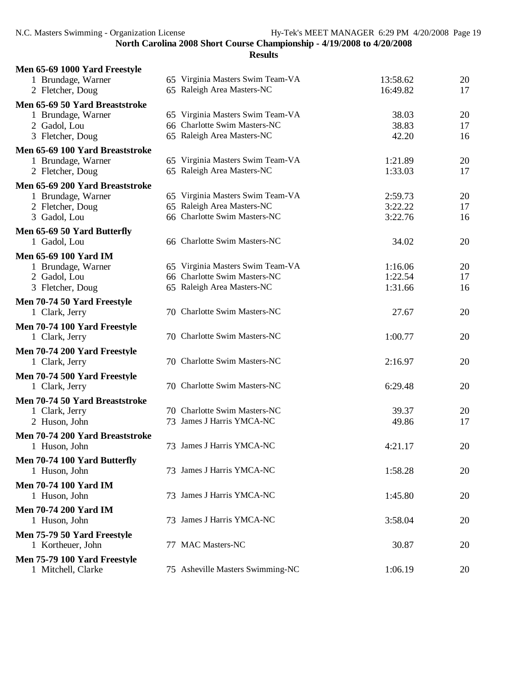| Men 65-69 1000 Yard Freestyle   |                                  |          |    |
|---------------------------------|----------------------------------|----------|----|
| 1 Brundage, Warner              | 65 Virginia Masters Swim Team-VA | 13:58.62 | 20 |
| 2 Fletcher, Doug                | 65 Raleigh Area Masters-NC       | 16:49.82 | 17 |
| Men 65-69 50 Yard Breaststroke  |                                  |          |    |
| 1 Brundage, Warner              | 65 Virginia Masters Swim Team-VA | 38.03    | 20 |
| 2 Gadol, Lou                    | 66 Charlotte Swim Masters-NC     | 38.83    | 17 |
| 3 Fletcher, Doug                | 65 Raleigh Area Masters-NC       | 42.20    | 16 |
| Men 65-69 100 Yard Breaststroke |                                  |          |    |
| 1 Brundage, Warner              | 65 Virginia Masters Swim Team-VA | 1:21.89  | 20 |
| 2 Fletcher, Doug                | 65 Raleigh Area Masters-NC       | 1:33.03  | 17 |
| Men 65-69 200 Yard Breaststroke |                                  |          |    |
| 1 Brundage, Warner              | 65 Virginia Masters Swim Team-VA | 2:59.73  | 20 |
| 2 Fletcher, Doug                | 65 Raleigh Area Masters-NC       | 3:22.22  | 17 |
| 3 Gadol, Lou                    | 66 Charlotte Swim Masters-NC     | 3:22.76  | 16 |
| Men 65-69 50 Yard Butterfly     |                                  |          |    |
| 1 Gadol, Lou                    | 66 Charlotte Swim Masters-NC     | 34.02    | 20 |
| <b>Men 65-69 100 Yard IM</b>    |                                  |          |    |
| 1 Brundage, Warner              | 65 Virginia Masters Swim Team-VA | 1:16.06  | 20 |
| 2 Gadol, Lou                    | 66 Charlotte Swim Masters-NC     | 1:22.54  | 17 |
| 3 Fletcher, Doug                | 65 Raleigh Area Masters-NC       | 1:31.66  | 16 |
| Men 70-74 50 Yard Freestyle     |                                  |          |    |
| 1 Clark, Jerry                  | 70 Charlotte Swim Masters-NC     | 27.67    | 20 |
|                                 |                                  |          |    |
| Men 70-74 100 Yard Freestyle    | 70 Charlotte Swim Masters-NC     |          |    |
| 1 Clark, Jerry                  |                                  | 1:00.77  | 20 |
| Men 70-74 200 Yard Freestyle    |                                  |          |    |
| 1 Clark, Jerry                  | 70 Charlotte Swim Masters-NC     | 2:16.97  | 20 |
| Men 70-74 500 Yard Freestyle    |                                  |          |    |
| 1 Clark, Jerry                  | 70 Charlotte Swim Masters-NC     | 6:29.48  | 20 |
| Men 70-74 50 Yard Breaststroke  |                                  |          |    |
| 1 Clark, Jerry                  | 70 Charlotte Swim Masters-NC     | 39.37    | 20 |
| 2 Huson, John                   | 73 James J Harris YMCA-NC        | 49.86    | 17 |
| Men 70-74 200 Yard Breaststroke |                                  |          |    |
| 1 Huson, John                   | 73 James J Harris YMCA-NC        | 4:21.17  | 20 |
| Men 70-74 100 Yard Butterfly    |                                  |          |    |
| 1 Huson, John                   | 73 James J Harris YMCA-NC        | 1:58.28  | 20 |
|                                 |                                  |          |    |
| <b>Men 70-74 100 Yard IM</b>    | 73 James J Harris YMCA-NC        |          |    |
| 1 Huson, John                   |                                  | 1:45.80  | 20 |
| <b>Men 70-74 200 Yard IM</b>    |                                  |          |    |
| 1 Huson, John                   | 73 James J Harris YMCA-NC        | 3:58.04  | 20 |
| Men 75-79 50 Yard Freestyle     |                                  |          |    |
| 1 Kortheuer, John               | 77 MAC Masters-NC                | 30.87    | 20 |
| Men 75-79 100 Yard Freestyle    |                                  |          |    |
| 1 Mitchell, Clarke              | 75 Asheville Masters Swimming-NC | 1:06.19  | 20 |
|                                 |                                  |          |    |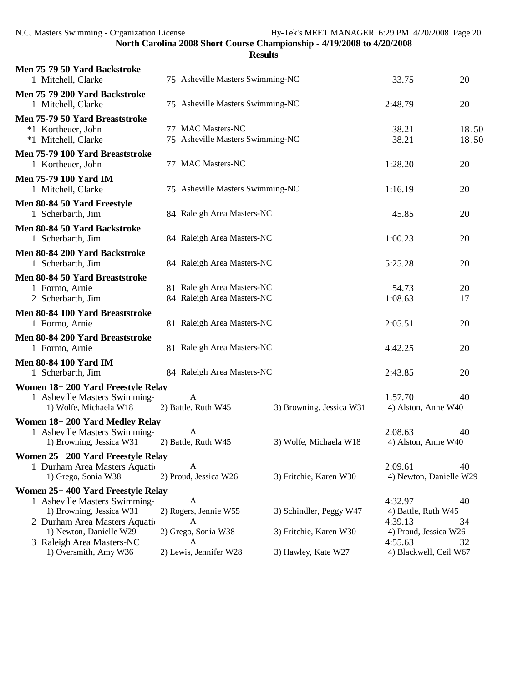| Men 75-79 50 Yard Backstroke<br>1 Mitchell, Clarke                          | 75 Asheville Masters Swimming-NC                         |                          | 33.75                              | 20             |
|-----------------------------------------------------------------------------|----------------------------------------------------------|--------------------------|------------------------------------|----------------|
| Men 75-79 200 Yard Backstroke<br>1 Mitchell, Clarke                         | 75 Asheville Masters Swimming-NC                         |                          | 2:48.79                            | 20             |
| Men 75-79 50 Yard Breaststroke<br>*1 Kortheuer, John<br>*1 Mitchell, Clarke | 77 MAC Masters-NC<br>75 Asheville Masters Swimming-NC    |                          | 38.21<br>38.21                     | 18.50<br>18.50 |
| Men 75-79 100 Yard Breaststroke<br>1 Kortheuer, John                        | 77 MAC Masters-NC                                        |                          | 1:28.20                            | 20             |
| <b>Men 75-79 100 Yard IM</b><br>1 Mitchell, Clarke                          | 75 Asheville Masters Swimming-NC                         |                          | 1:16.19                            | 20             |
| Men 80-84 50 Yard Freestyle<br>1 Scherbarth, Jim                            | 84 Raleigh Area Masters-NC                               |                          | 45.85                              | 20             |
| Men 80-84 50 Yard Backstroke<br>1 Scherbarth, Jim                           | 84 Raleigh Area Masters-NC                               |                          | 1:00.23                            | 20             |
| Men 80-84 200 Yard Backstroke<br>1 Scherbarth, Jim                          | 84 Raleigh Area Masters-NC                               |                          | 5:25.28                            | 20             |
| Men 80-84 50 Yard Breaststroke                                              |                                                          |                          |                                    |                |
| 1 Formo, Arnie<br>2 Scherbarth, Jim                                         | 81 Raleigh Area Masters-NC<br>84 Raleigh Area Masters-NC |                          | 54.73<br>1:08.63                   | 20<br>17       |
| Men 80-84 100 Yard Breaststroke                                             |                                                          |                          |                                    |                |
| 1 Formo, Arnie                                                              | 81 Raleigh Area Masters-NC                               |                          | 2:05.51                            | 20             |
| Men 80-84 200 Yard Breaststroke<br>1 Formo, Arnie                           | 81 Raleigh Area Masters-NC                               |                          | 4:42.25                            | 20             |
| <b>Men 80-84 100 Yard IM</b><br>1 Scherbarth, Jim                           | 84 Raleigh Area Masters-NC                               |                          | 2:43.85                            | 20             |
| Women 18+200 Yard Freestyle Relay                                           |                                                          |                          |                                    |                |
| 1 Asheville Masters Swimming-<br>1) Wolfe, Michaela W18                     | A<br>2) Battle, Ruth W45                                 | 3) Browning, Jessica W31 | 1:57.70<br>4) Alston, Anne W40     | 40             |
| Women 18+200 Yard Medley Relay                                              |                                                          |                          |                                    |                |
| 1 Asheville Masters Swimming-                                               | $\mathbf{A}$                                             |                          | 2:08.63                            | 40             |
| 1) Browning, Jessica W31                                                    | 2) Battle, Ruth W45                                      | 3) Wolfe, Michaela W18   | 4) Alston, Anne W40                |                |
| Women 25+ 200 Yard Freestyle Relay                                          |                                                          |                          |                                    |                |
| 1 Durham Area Masters Aquatic<br>1) Grego, Sonia W38                        | A<br>2) Proud, Jessica W26                               | 3) Fritchie, Karen W30   | 2:09.61<br>4) Newton, Danielle W29 | 40             |
| Women 25+400 Yard Freestyle Relay                                           |                                                          |                          |                                    |                |
| 1 Asheville Masters Swimming-                                               | A                                                        |                          | 4:32.97                            | 40             |
| 1) Browning, Jessica W31                                                    | 2) Rogers, Jennie W55                                    | 3) Schindler, Peggy W47  | 4) Battle, Ruth W45                |                |
| 2 Durham Area Masters Aquation<br>1) Newton, Danielle W29                   | А<br>2) Grego, Sonia W38                                 | 3) Fritchie, Karen W30   | 4:39.13<br>4) Proud, Jessica W26   | 34             |
| 3 Raleigh Area Masters-NC                                                   | А                                                        |                          | 4:55.63                            | 32             |
| 1) Oversmith, Amy W36                                                       | 2) Lewis, Jennifer W28                                   | 3) Hawley, Kate W27      | 4) Blackwell, Ceil W67             |                |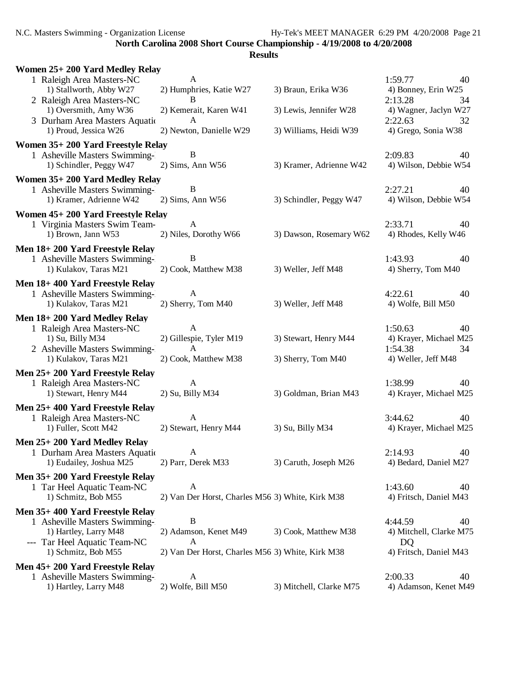N.C. Masters Swimming - Organization License Hy-Tek's MEET MANAGER 6:29 PM 4/20/2008 Page 21

**North Carolina 2008 Short Course Championship - 4/19/2008 to 4/20/2008**

| Women 25+200 Yard Medley Relay                                                 |                                                                  |                         |                                                          |
|--------------------------------------------------------------------------------|------------------------------------------------------------------|-------------------------|----------------------------------------------------------|
| 1 Raleigh Area Masters-NC<br>1) Stallworth, Abby W27                           | $\mathbf{A}$<br>2) Humphries, Katie W27                          | 3) Braun, Erika W36     | 1:59.77<br>40<br>4) Bonney, Erin W25                     |
| 2 Raleigh Area Masters-NC<br>1) Oversmith, Amy W36                             | B<br>2) Kemerait, Karen W41                                      | 3) Lewis, Jennifer W28  | 2:13.28<br>34<br>4) Wagner, Jaclyn W27                   |
| 3 Durham Area Masters Aquatic<br>1) Proud, Jessica W26                         | $\mathbf{A}$<br>2) Newton, Danielle W29                          | 3) Williams, Heidi W39  | 2:22.63<br>32<br>4) Grego, Sonia W38                     |
| Women 35+200 Yard Freestyle Relay                                              |                                                                  |                         |                                                          |
| 1 Asheville Masters Swimming-<br>1) Schindler, Peggy W47                       | B<br>$2)$ Sims, Ann W56                                          | 3) Kramer, Adrienne W42 | 2:09.83<br>40<br>4) Wilson, Debbie W54                   |
| Women 35+200 Yard Medley Relay                                                 |                                                                  |                         |                                                          |
| 1 Asheville Masters Swimming-<br>1) Kramer, Adrienne W42                       | B<br>$2)$ Sims, Ann W56                                          | 3) Schindler, Peggy W47 | 2:27.21<br>40<br>4) Wilson, Debbie W54                   |
| Women 45+200 Yard Freestyle Relay                                              |                                                                  |                         |                                                          |
| 1 Virginia Masters Swim Team-<br>1) Brown, Jann W53                            | $\mathbf{A}$<br>2) Niles, Dorothy W66                            | 3) Dawson, Rosemary W62 | 2:33.71<br>40<br>4) Rhodes, Kelly W46                    |
| Men 18+200 Yard Freestyle Relay                                                |                                                                  |                         |                                                          |
| 1 Asheville Masters Swimming-<br>1) Kulakov, Taras M21                         | B<br>2) Cook, Matthew M38                                        | 3) Weller, Jeff M48     | 1:43.93<br>40<br>4) Sherry, Tom M40                      |
| Men 18+400 Yard Freestyle Relay                                                |                                                                  |                         |                                                          |
| 1 Asheville Masters Swimming-<br>1) Kulakov, Taras M21                         | A<br>2) Sherry, Tom M40                                          | 3) Weller, Jeff M48     | 4:22.61<br>40<br>4) Wolfe, Bill M50                      |
| Men 18+200 Yard Medley Relay                                                   |                                                                  |                         |                                                          |
| 1 Raleigh Area Masters-NC<br>1) Su, Billy M34<br>2 Asheville Masters Swimming- | $\mathbf{A}$<br>2) Gillespie, Tyler M19<br>A                     | 3) Stewart, Henry M44   | 1:50.63<br>40<br>4) Krayer, Michael M25<br>1:54.38<br>34 |
| 1) Kulakov, Taras M21                                                          | 2) Cook, Matthew M38                                             | 3) Sherry, Tom M40      | 4) Weller, Jeff M48                                      |
| Men 25+200 Yard Freestyle Relay                                                |                                                                  |                         |                                                          |
| 1 Raleigh Area Masters-NC<br>1) Stewart, Henry M44                             | A<br>2) Su, Billy M34                                            | 3) Goldman, Brian M43   | 1:38.99<br>40<br>4) Krayer, Michael M25                  |
| Men 25+400 Yard Freestyle Relay                                                |                                                                  |                         |                                                          |
| 1 Raleigh Area Masters-NC<br>1) Fuller, Scott M42                              | A<br>2) Stewart, Henry M44                                       | 3) Su, Billy M34        | 3:44.62<br>40<br>4) Krayer, Michael M25                  |
| Men 25+200 Yard Medley Relay                                                   |                                                                  |                         |                                                          |
| 1 Durham Area Masters Aquation<br>1) Eudailey, Joshua M25                      | A<br>2) Parr, Derek M33                                          | 3) Caruth, Joseph M26   | 2:14.93<br>40<br>4) Bedard, Daniel M27                   |
| Men 35+200 Yard Freestyle Relay                                                |                                                                  |                         |                                                          |
| 1 Tar Heel Aquatic Team-NC<br>1) Schmitz, Bob M55                              | $\mathbf{A}$<br>2) Van Der Horst, Charles M56 3) White, Kirk M38 |                         | 1:43.60<br>40<br>4) Fritsch, Daniel M43                  |
| Men 35+400 Yard Freestyle Relay                                                |                                                                  |                         |                                                          |
| 1 Asheville Masters Swimming-                                                  | B                                                                |                         | 4:44.59<br>40                                            |
| 1) Hartley, Larry M48<br>--- Tar Heel Aquatic Team-NC                          | 2) Adamson, Kenet M49<br>A                                       | 3) Cook, Matthew M38    | 4) Mitchell, Clarke M75<br>DQ                            |
| 1) Schmitz, Bob M55                                                            | 2) Van Der Horst, Charles M56 3) White, Kirk M38                 |                         | 4) Fritsch, Daniel M43                                   |
| Men 45+200 Yard Freestyle Relay                                                |                                                                  |                         |                                                          |
| 1 Asheville Masters Swimming-<br>1) Hartley, Larry M48                         | A<br>2) Wolfe, Bill M50                                          | 3) Mitchell, Clarke M75 | 2:00.33<br>40<br>4) Adamson, Kenet M49                   |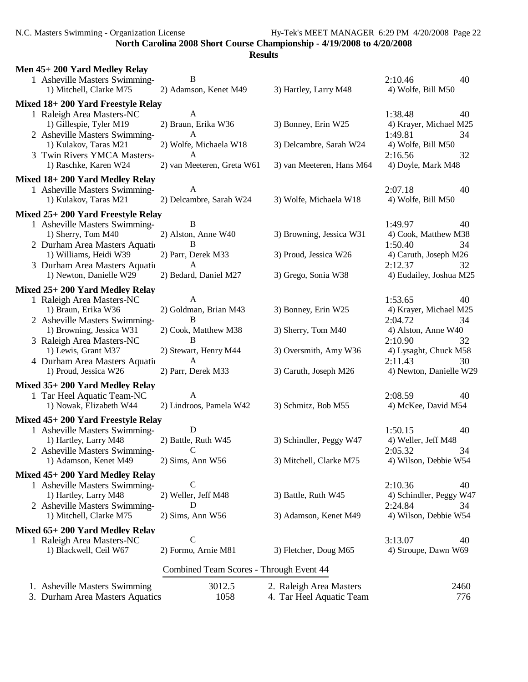N.C. Masters Swimming - Organization License Hy-Tek's MEET MANAGER 6:29 PM 4/20/2008 Page 22

**North Carolina 2008 Short Course Championship - 4/19/2008 to 4/20/2008**

| Men 45+200 Yard Medley Relay<br>1 Asheville Masters Swimming-<br>1) Mitchell, Clarke M75                                                                                     | B<br>2) Adamson, Kenet M49                                                                   | 3) Hartley, Larry M48                                                    | 2:10.46<br>40<br>4) Wolfe, Bill M50                                                                                         |
|------------------------------------------------------------------------------------------------------------------------------------------------------------------------------|----------------------------------------------------------------------------------------------|--------------------------------------------------------------------------|-----------------------------------------------------------------------------------------------------------------------------|
| Mixed 18+200 Yard Freestyle Relay                                                                                                                                            |                                                                                              |                                                                          |                                                                                                                             |
| 1 Raleigh Area Masters-NC<br>1) Gillespie, Tyler M19<br>2 Asheville Masters Swimming-<br>1) Kulakov, Taras M21<br>3 Twin Rivers YMCA Masters-                                | A<br>2) Braun, Erika W36<br>A<br>2) Wolfe, Michaela W18<br>A                                 | 3) Bonney, Erin W25<br>3) Delcambre, Sarah W24                           | 1:38.48<br>40<br>4) Krayer, Michael M25<br>1:49.81<br>34<br>4) Wolfe, Bill M50<br>2:16.56<br>32                             |
| 1) Raschke, Karen W24                                                                                                                                                        | 2) van Meeteren, Greta W61                                                                   | 3) van Meeteren, Hans M64                                                | 4) Doyle, Mark M48                                                                                                          |
| Mixed 18+200 Yard Medley Relay<br>1 Asheville Masters Swimming-<br>1) Kulakov, Taras M21<br>Mixed 25+ 200 Yard Freestyle Relay                                               | A<br>2) Delcambre, Sarah W24                                                                 | 3) Wolfe, Michaela W18                                                   | 2:07.18<br>40<br>4) Wolfe, Bill M50                                                                                         |
| 1 Asheville Masters Swimming-<br>1) Sherry, Tom M40<br>2 Durham Area Masters Aquation<br>1) Williams, Heidi W39<br>3 Durham Area Masters Aquation<br>1) Newton, Danielle W29 | B<br>2) Alston, Anne W40<br>B<br>2) Parr, Derek M33<br>$\mathbf{A}$<br>2) Bedard, Daniel M27 | 3) Browning, Jessica W31<br>3) Proud, Jessica W26<br>3) Grego, Sonia W38 | 1:49.97<br>40<br>4) Cook, Matthew M38<br>1:50.40<br>34<br>4) Caruth, Joseph M26<br>2:12.37<br>32<br>4) Eudailey, Joshua M25 |
| Mixed 25+200 Yard Medley Relay                                                                                                                                               |                                                                                              |                                                                          |                                                                                                                             |
| 1 Raleigh Area Masters-NC<br>1) Braun, Erika W36<br>2 Asheville Masters Swimming-                                                                                            | A<br>2) Goldman, Brian M43<br>B                                                              | 3) Bonney, Erin W25                                                      | 1:53.65<br>40<br>4) Krayer, Michael M25<br>2:04.72<br>34                                                                    |
| 1) Browning, Jessica W31                                                                                                                                                     | 2) Cook, Matthew M38                                                                         | 3) Sherry, Tom M40                                                       | 4) Alston, Anne W40                                                                                                         |
| 3 Raleigh Area Masters-NC<br>1) Lewis, Grant M37<br>4 Durham Area Masters Aquation                                                                                           | B<br>2) Stewart, Henry M44<br>$\mathbf{A}$                                                   | 3) Oversmith, Amy W36                                                    | 2:10.90<br>32<br>4) Lysaght, Chuck M58<br>2:11.43<br>30                                                                     |
| 1) Proud, Jessica W26                                                                                                                                                        | 2) Parr, Derek M33                                                                           | 3) Caruth, Joseph M26                                                    | 4) Newton, Danielle W29                                                                                                     |
| Mixed 35+200 Yard Medley Relay<br>1 Tar Heel Aquatic Team-NC<br>1) Nowak, Elizabeth W44                                                                                      | A<br>2) Lindroos, Pamela W42                                                                 | 3) Schmitz, Bob M55                                                      | 2:08.59<br>40<br>4) McKee, David M54                                                                                        |
| Mixed 45+200 Yard Freestyle Relay                                                                                                                                            |                                                                                              |                                                                          |                                                                                                                             |
| 1 Asheville Masters Swimming-<br>1) Hartley, Larry M48<br>2 Asheville Masters Swimming-                                                                                      | D<br>2) Battle, Ruth W45<br>C                                                                | 3) Schindler, Peggy W47                                                  | 1:50.15<br>40<br>4) Weller, Jeff M48<br>2:05.32<br>34                                                                       |
| 1) Adamson, Kenet M49                                                                                                                                                        | 2) Sims, Ann W56                                                                             | 3) Mitchell, Clarke M75                                                  | 4) Wilson, Debbie W54                                                                                                       |
| Mixed 45+200 Yard Medley Relay<br>1 Asheville Masters Swimming-<br>1) Hartley, Larry M48<br>2 Asheville Masters Swimming-<br>1) Mitchell, Clarke M75                         | C<br>2) Weller, Jeff M48<br>D<br>2) Sims, Ann W56                                            | 3) Battle, Ruth W45<br>3) Adamson, Kenet M49                             | 2:10.36<br>40<br>4) Schindler, Peggy W47<br>2:24.84<br>34<br>4) Wilson, Debbie W54                                          |
| Mixed 65+200 Yard Medley Relay                                                                                                                                               |                                                                                              |                                                                          |                                                                                                                             |
| 1 Raleigh Area Masters-NC<br>1) Blackwell, Ceil W67                                                                                                                          | $\mathcal{C}$<br>2) Formo, Arnie M81                                                         | 3) Fletcher, Doug M65                                                    | 3:13.07<br>40<br>4) Stroupe, Dawn W69                                                                                       |
|                                                                                                                                                                              | Combined Team Scores - Through Event 44                                                      |                                                                          |                                                                                                                             |
| 1. Asheville Masters Swimming<br>3. Durham Area Masters Aquatics                                                                                                             | 3012.5<br>1058                                                                               | 2. Raleigh Area Masters<br>4. Tar Heel Aquatic Team                      | 2460<br>776                                                                                                                 |